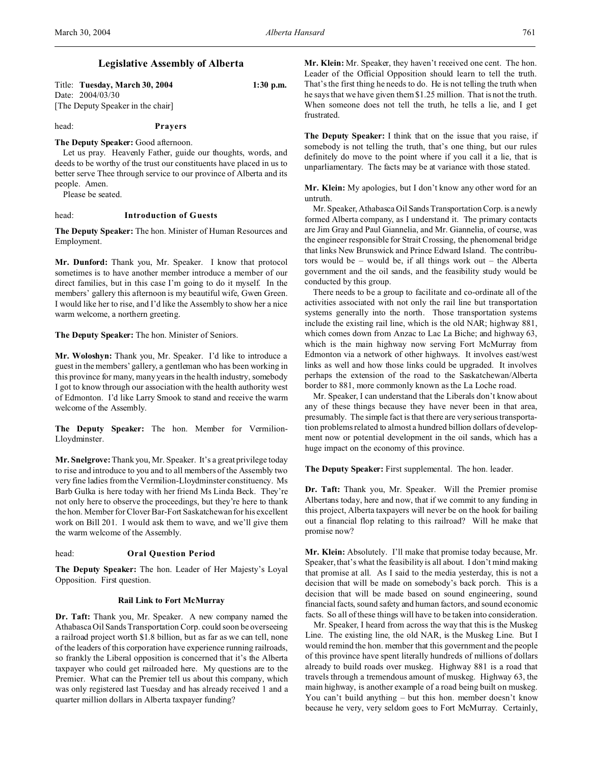## **Legislative Assembly of Alberta**

| Title: Tuesday, March 30, 2004    | $1:30$ p.m. |
|-----------------------------------|-------------|
| Date: 2004/03/30                  |             |
| [The Deputy Speaker in the chair] |             |

# head: **Prayers**

## **The Deputy Speaker:** Good afternoon.

Let us pray. Heavenly Father, guide our thoughts, words, and deeds to be worthy of the trust our constituents have placed in us to better serve Thee through service to our province of Alberta and its people. Amen.

Please be seated.

## head: **Introduction of Guests**

**The Deputy Speaker:** The hon. Minister of Human Resources and Employment.

**Mr. Dunford:** Thank you, Mr. Speaker. I know that protocol sometimes is to have another member introduce a member of our direct families, but in this case I'm going to do it myself. In the members' gallery this afternoon is my beautiful wife, Gwen Green. I would like her to rise, and I'd like the Assembly to show her a nice warm welcome, a northern greeting.

**The Deputy Speaker:** The hon. Minister of Seniors.

**Mr. Woloshyn:** Thank you, Mr. Speaker. I'd like to introduce a guest in the members' gallery, a gentleman who has been working in this province for many, many years in the health industry, somebody I got to know through our association with the health authority west of Edmonton. I'd like Larry Smook to stand and receive the warm welcome of the Assembly.

**The Deputy Speaker:** The hon. Member for Vermilion-Lloydminster.

**Mr. Snelgrove:** Thank you, Mr. Speaker. It's a great privilege today to rise and introduce to you and to all members of the Assembly two very fine ladies from the Vermilion-Lloydminster constituency. Ms Barb Gulka is here today with her friend Ms Linda Beck. They're not only here to observe the proceedings, but they're here to thank the hon. Member for Clover Bar-Fort Saskatchewan for his excellent work on Bill 201. I would ask them to wave, and we'll give them the warm welcome of the Assembly.

## head: **Oral Question Period**

**The Deputy Speaker:** The hon. Leader of Her Majesty's Loyal Opposition. First question.

#### **Rail Link to Fort McMurray**

**Dr. Taft:** Thank you, Mr. Speaker. A new company named the Athabasca Oil Sands Transportation Corp. could soon be overseeing a railroad project worth \$1.8 billion, but as far as we can tell, none of the leaders of this corporation have experience running railroads, so frankly the Liberal opposition is concerned that it's the Alberta taxpayer who could get railroaded here. My questions are to the Premier. What can the Premier tell us about this company, which was only registered last Tuesday and has already received 1 and a quarter million dollars in Alberta taxpayer funding?

**Mr. Klein:** Mr. Speaker, they haven't received one cent. The hon. Leader of the Official Opposition should learn to tell the truth. That's the first thing he needs to do. He is not telling the truth when he says that we have given them \$1.25 million. That is not the truth. When someone does not tell the truth, he tells a lie, and I get frustrated.

**The Deputy Speaker:** I think that on the issue that you raise, if somebody is not telling the truth, that's one thing, but our rules definitely do move to the point where if you call it a lie, that is unparliamentary. The facts may be at variance with those stated.

**Mr. Klein:** My apologies, but I don't know any other word for an untruth.

Mr. Speaker, Athabasca Oil Sands Transportation Corp. is a newly formed Alberta company, as I understand it. The primary contacts are Jim Gray and Paul Giannelia, and Mr. Giannelia, of course, was the engineer responsible for Strait Crossing, the phenomenal bridge that links New Brunswick and Prince Edward Island. The contributors would be – would be, if all things work out – the Alberta government and the oil sands, and the feasibility study would be conducted by this group.

There needs to be a group to facilitate and co-ordinate all of the activities associated with not only the rail line but transportation systems generally into the north. Those transportation systems include the existing rail line, which is the old NAR; highway 881, which comes down from Anzac to Lac La Biche; and highway 63, which is the main highway now serving Fort McMurray from Edmonton via a network of other highways. It involves east/west links as well and how those links could be upgraded. It involves perhaps the extension of the road to the Saskatchewan/Alberta border to 881, more commonly known as the La Loche road.

Mr. Speaker, I can understand that the Liberals don't know about any of these things because they have never been in that area, presumably. The simple fact is that there are very serious transportation problems related to almost a hundred billion dollars of development now or potential development in the oil sands, which has a huge impact on the economy of this province.

**The Deputy Speaker:** First supplemental. The hon. leader.

**Dr. Taft:** Thank you, Mr. Speaker. Will the Premier promise Albertans today, here and now, that if we commit to any funding in this project, Alberta taxpayers will never be on the hook for bailing out a financial flop relating to this railroad? Will he make that promise now?

**Mr. Klein:** Absolutely. I'll make that promise today because, Mr. Speaker, that's what the feasibility is all about. I don't mind making that promise at all. As I said to the media yesterday, this is not a decision that will be made on somebody's back porch. This is a decision that will be made based on sound engineering, sound financial facts, sound safety and human factors, and sound economic facts. So all of these things will have to be taken into consideration.

Mr. Speaker, I heard from across the way that this is the Muskeg Line. The existing line, the old NAR, is the Muskeg Line. But I would remind the hon. member that this government and the people of this province have spent literally hundreds of millions of dollars already to build roads over muskeg. Highway 881 is a road that travels through a tremendous amount of muskeg. Highway 63, the main highway, is another example of a road being built on muskeg. You can't build anything – but this hon. member doesn't know because he very, very seldom goes to Fort McMurray. Certainly,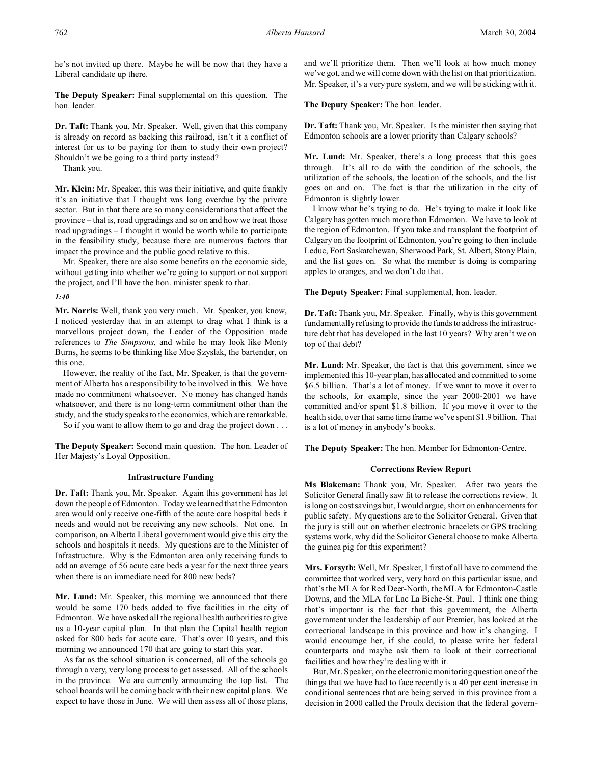he's not invited up there. Maybe he will be now that they have a Liberal candidate up there.

**The Deputy Speaker:** Final supplemental on this question. The hon. leader.

**Dr. Taft:** Thank you, Mr. Speaker. Well, given that this company is already on record as backing this railroad, isn't it a conflict of interest for us to be paying for them to study their own project? Shouldn't we be going to a third party instead?

Thank you.

**Mr. Klein:** Mr. Speaker, this was their initiative, and quite frankly it's an initiative that I thought was long overdue by the private sector. But in that there are so many considerations that affect the province – that is, road upgradings and so on and how we treat those road upgradings – I thought it would be worth while to participate in the feasibility study, because there are numerous factors that impact the province and the public good relative to this.

Mr. Speaker, there are also some benefits on the economic side, without getting into whether we're going to support or not support the project, and I'll have the hon. minister speak to that.

## *1:40*

**Mr. Norris:** Well, thank you very much. Mr. Speaker, you know, I noticed yesterday that in an attempt to drag what I think is a marvellous project down, the Leader of the Opposition made references to *The Simpsons*, and while he may look like Monty Burns, he seems to be thinking like Moe Szyslak, the bartender, on this one.

However, the reality of the fact, Mr. Speaker, is that the government of Alberta has a responsibility to be involved in this. We have made no commitment whatsoever. No money has changed hands whatsoever, and there is no long-term commitment other than the study, and the study speaks to the economics, which are remarkable.

So if you want to allow them to go and drag the project down . . .

**The Deputy Speaker:** Second main question. The hon. Leader of Her Majesty's Loyal Opposition.

#### **Infrastructure Funding**

**Dr. Taft:** Thank you, Mr. Speaker. Again this government has let down the people of Edmonton. Today we learned that the Edmonton area would only receive one-fifth of the acute care hospital beds it needs and would not be receiving any new schools. Not one. In comparison, an Alberta Liberal government would give this city the schools and hospitals it needs. My questions are to the Minister of Infrastructure. Why is the Edmonton area only receiving funds to add an average of 56 acute care beds a year for the next three years when there is an immediate need for 800 new beds?

**Mr. Lund:** Mr. Speaker, this morning we announced that there would be some 170 beds added to five facilities in the city of Edmonton. We have asked all the regional health authorities to give us a 10-year capital plan. In that plan the Capital health region asked for 800 beds for acute care. That's over 10 years, and this morning we announced 170 that are going to start this year.

As far as the school situation is concerned, all of the schools go through a very, very long process to get assessed. All of the schools in the province. We are currently announcing the top list. The school boards will be coming back with their new capital plans. We expect to have those in June. We will then assess all of those plans,

and we'll prioritize them. Then we'll look at how much money we've got, and we will come down with the list on that prioritization. Mr. Speaker, it's a very pure system, and we will be sticking with it.

**The Deputy Speaker:** The hon. leader.

**Dr. Taft:** Thank you, Mr. Speaker. Is the minister then saying that Edmonton schools are a lower priority than Calgary schools?

**Mr. Lund:** Mr. Speaker, there's a long process that this goes through. It's all to do with the condition of the schools, the utilization of the schools, the location of the schools, and the list goes on and on. The fact is that the utilization in the city of Edmonton is slightly lower.

I know what he's trying to do. He's trying to make it look like Calgary has gotten much more than Edmonton. We have to look at the region of Edmonton. If you take and transplant the footprint of Calgary on the footprint of Edmonton, you're going to then include Leduc, Fort Saskatchewan, Sherwood Park, St. Albert, Stony Plain, and the list goes on. So what the member is doing is comparing apples to oranges, and we don't do that.

**The Deputy Speaker:** Final supplemental, hon. leader.

**Dr. Taft:** Thank you, Mr. Speaker. Finally, why is this government fundamentally refusing to provide the funds to address the infrastructure debt that has developed in the last 10 years? Why aren't we on top of that debt?

**Mr. Lund:** Mr. Speaker, the fact is that this government, since we implemented this 10-year plan, has allocated and committed to some \$6.5 billion. That's a lot of money. If we want to move it over to the schools, for example, since the year 2000-2001 we have committed and/or spent \$1.8 billion. If you move it over to the health side, over that same time frame we've spent \$1.9 billion. That is a lot of money in anybody's books.

**The Deputy Speaker:** The hon. Member for Edmonton-Centre.

#### **Corrections Review Report**

**Ms Blakeman:** Thank you, Mr. Speaker. After two years the Solicitor General finally saw fit to release the corrections review. It is long on cost savings but, I would argue, short on enhancements for public safety. My questions are to the Solicitor General. Given that the jury is still out on whether electronic bracelets or GPS tracking systems work, why did the Solicitor General choose to make Alberta the guinea pig for this experiment?

**Mrs. Forsyth:** Well, Mr. Speaker, I first of all have to commend the committee that worked very, very hard on this particular issue, and that's the MLA for Red Deer-North, the MLA for Edmonton-Castle Downs, and the MLA for Lac La Biche-St. Paul. I think one thing that's important is the fact that this government, the Alberta government under the leadership of our Premier, has looked at the correctional landscape in this province and how it's changing. I would encourage her, if she could, to please write her federal counterparts and maybe ask them to look at their correctional facilities and how they're dealing with it.

But, Mr. Speaker, on the electronic monitoring question one of the things that we have had to face recently is a 40 per cent increase in conditional sentences that are being served in this province from a decision in 2000 called the Proulx decision that the federal govern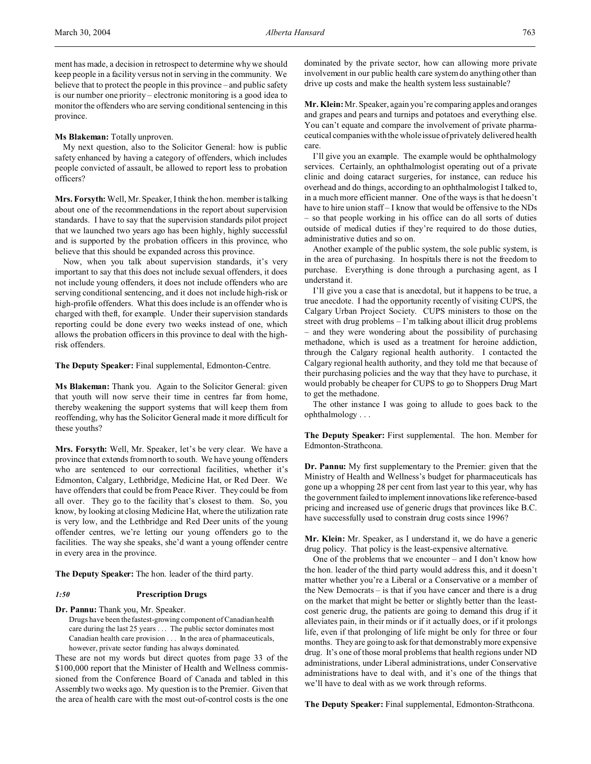ment has made, a decision in retrospect to determine why we should keep people in a facility versus not in serving in the community. We believe that to protect the people in this province – and public safety is our number one priority – electronic monitoring is a good idea to monitor the offenders who are serving conditional sentencing in this province.

## **Ms Blakeman:** Totally unproven.

My next question, also to the Solicitor General: how is public safety enhanced by having a category of offenders, which includes people convicted of assault, be allowed to report less to probation officers?

**Mrs. Forsyth:** Well, Mr. Speaker, I think the hon. member is talking about one of the recommendations in the report about supervision standards. I have to say that the supervision standards pilot project that we launched two years ago has been highly, highly successful and is supported by the probation officers in this province, who believe that this should be expanded across this province.

Now, when you talk about supervision standards, it's very important to say that this does not include sexual offenders, it does not include young offenders, it does not include offenders who are serving conditional sentencing, and it does not include high-risk or high-profile offenders. What this does include is an offender who is charged with theft, for example. Under their supervision standards reporting could be done every two weeks instead of one, which allows the probation officers in this province to deal with the highrisk offenders.

**The Deputy Speaker:** Final supplemental, Edmonton-Centre.

**Ms Blakeman:** Thank you. Again to the Solicitor General: given that youth will now serve their time in centres far from home, thereby weakening the support systems that will keep them from reoffending, why has the Solicitor General made it more difficult for these youths?

**Mrs. Forsyth:** Well, Mr. Speaker, let's be very clear. We have a province that extends from north to south. We have young offenders who are sentenced to our correctional facilities, whether it's Edmonton, Calgary, Lethbridge, Medicine Hat, or Red Deer. We have offenders that could be from Peace River. They could be from all over. They go to the facility that's closest to them. So, you know, by looking at closing Medicine Hat, where the utilization rate is very low, and the Lethbridge and Red Deer units of the young offender centres, we're letting our young offenders go to the facilities. The way she speaks, she'd want a young offender centre in every area in the province.

**The Deputy Speaker:** The hon. leader of the third party.

#### *1:50* **Prescription Drugs**

**Dr. Pannu:** Thank you, Mr. Speaker.

Drugs have been the fastest-growing component of Canadian health care during the last 25 years . . . The public sector dominates most Canadian health care provision . . . In the area of pharmaceuticals, however, private sector funding has always dominated.

These are not my words but direct quotes from page 33 of the \$100,000 report that the Minister of Health and Wellness commissioned from the Conference Board of Canada and tabled in this Assembly two weeks ago. My question is to the Premier. Given that the area of health care with the most out-of-control costs is the one

dominated by the private sector, how can allowing more private involvement in our public health care system do anything other than drive up costs and make the health system less sustainable?

**Mr. Klein:** Mr. Speaker, again you're comparing apples and oranges and grapes and pears and turnips and potatoes and everything else. You can't equate and compare the involvement of private pharmaceutical companies with the whole issue of privately delivered health care.

I'll give you an example. The example would be ophthalmology services. Certainly, an ophthalmologist operating out of a private clinic and doing cataract surgeries, for instance, can reduce his overhead and do things, according to an ophthalmologist I talked to, in a much more efficient manner. One of the ways is that he doesn't have to hire union staff – I know that would be offensive to the NDs – so that people working in his office can do all sorts of duties outside of medical duties if they're required to do those duties, administrative duties and so on.

Another example of the public system, the sole public system, is in the area of purchasing. In hospitals there is not the freedom to purchase. Everything is done through a purchasing agent, as I understand it.

I'll give you a case that is anecdotal, but it happens to be true, a true anecdote. I had the opportunity recently of visiting CUPS, the Calgary Urban Project Society. CUPS ministers to those on the street with drug problems – I'm talking about illicit drug problems – and they were wondering about the possibility of purchasing methadone, which is used as a treatment for heroine addiction, through the Calgary regional health authority. I contacted the Calgary regional health authority, and they told me that because of their purchasing policies and the way that they have to purchase, it would probably be cheaper for CUPS to go to Shoppers Drug Mart to get the methadone.

The other instance I was going to allude to goes back to the ophthalmology . . .

**The Deputy Speaker:** First supplemental. The hon. Member for Edmonton-Strathcona.

**Dr. Pannu:** My first supplementary to the Premier: given that the Ministry of Health and Wellness's budget for pharmaceuticals has gone up a whopping 28 per cent from last year to this year, why has the government failed to implement innovations like reference-based pricing and increased use of generic drugs that provinces like B.C. have successfully used to constrain drug costs since 1996?

**Mr. Klein:** Mr. Speaker, as I understand it, we do have a generic drug policy. That policy is the least-expensive alternative.

One of the problems that we encounter – and I don't know how the hon. leader of the third party would address this, and it doesn't matter whether you're a Liberal or a Conservative or a member of the New Democrats – is that if you have cancer and there is a drug on the market that might be better or slightly better than the leastcost generic drug, the patients are going to demand this drug if it alleviates pain, in their minds or if it actually does, or if it prolongs life, even if that prolonging of life might be only for three or four months. They are going to ask for that demonstrably more expensive drug. It's one of those moral problems that health regions under ND administrations, under Liberal administrations, under Conservative administrations have to deal with, and it's one of the things that we'll have to deal with as we work through reforms.

**The Deputy Speaker:** Final supplemental, Edmonton-Strathcona.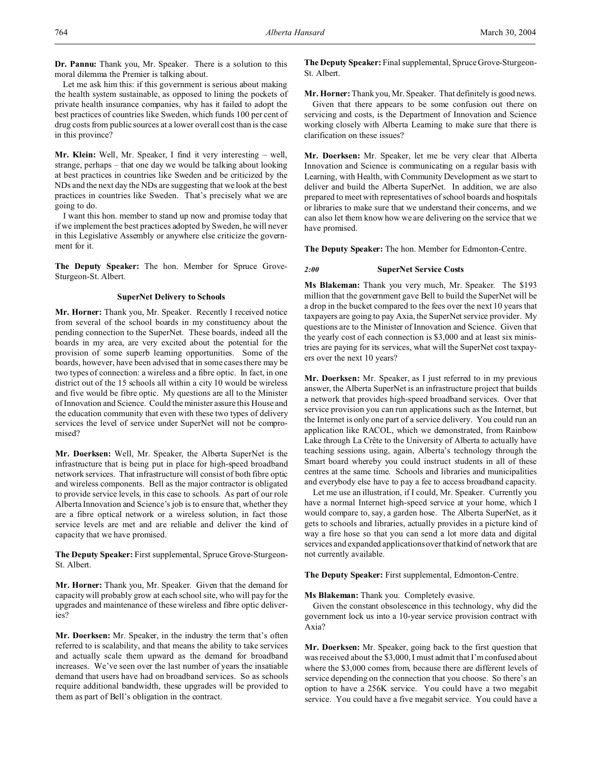**Dr. Pannu:** Thank you, Mr. Speaker. There is a solution to this moral dilemma the Premier is talking about.

Let me ask him this: if this government is serious about making the health system sustainable, as opposed to lining the pockets of private health insurance companies, why has it failed to adopt the best practices of countries like Sweden, which funds 100 per cent of drug costs from public sources at a lower overall cost than is the case in this province?

**Mr. Klein:** Well, Mr. Speaker, I find it very interesting – well, strange, perhaps – that one day we would be talking about looking at best practices in countries like Sweden and be criticized by the NDs and the next day the NDs are suggesting that we look at the best practices in countries like Sweden. That's precisely what we are going to do.

I want this hon. member to stand up now and promise today that if we implement the best practices adopted by Sweden, he will never in this Legislative Assembly or anywhere else criticize the government for it.

**The Deputy Speaker:** The hon. Member for Spruce Grove-Sturgeon-St. Albert.

#### **SuperNet Delivery to Schools**

**Mr. Horner:** Thank you, Mr. Speaker. Recently I received notice from several of the school boards in my constituency about the pending connection to the SuperNet. These boards, indeed all the boards in my area, are very excited about the potential for the provision of some superb learning opportunities. Some of the boards, however, have been advised that in some cases there may be two types of connection: a wireless and a fibre optic. In fact, in one district out of the 15 schools all within a city 10 would be wireless and five would be fibre optic. My questions are all to the Minister of Innovation and Science. Could the minister assure this House and the education community that even with these two types of delivery services the level of service under SuperNet will not be compromised?

**Mr. Doerksen:** Well, Mr. Speaker, the Alberta SuperNet is the infrastructure that is being put in place for high-speed broadband network services. That infrastructure will consist of both fibre optic and wireless components. Bell as the major contractor is obligated to provide service levels, in this case to schools. As part of our role Alberta Innovation and Science's job is to ensure that, whether they are a fibre optical network or a wireless solution, in fact those service levels are met and are reliable and deliver the kind of capacity that we have promised.

**The Deputy Speaker:** First supplemental, Spruce Grove-Sturgeon-St. Albert.

**Mr. Horner:** Thank you, Mr. Speaker. Given that the demand for capacity will probably grow at each school site, who will pay for the upgrades and maintenance of these wireless and fibre optic deliveries?

**Mr. Doerksen:** Mr. Speaker, in the industry the term that's often referred to is scalability, and that means the ability to take services and actually scale them upward as the demand for broadband increases. We've seen over the last number of years the insatiable demand that users have had on broadband services. So as schools require additional bandwidth, these upgrades will be provided to them as part of Bell's obligation in the contract.

**The Deputy Speaker:** Final supplemental, Spruce Grove-Sturgeon-St. Albert.

**Mr. Horner:** Thank you, Mr. Speaker. That definitely is good news. Given that there appears to be some confusion out there on servicing and costs, is the Department of Innovation and Science working closely with Alberta Learning to make sure that there is clarification on these issues?

**Mr. Doerksen:** Mr. Speaker, let me be very clear that Alberta Innovation and Science is communicating on a regular basis with Learning, with Health, with Community Development as we start to deliver and build the Alberta SuperNet. In addition, we are also prepared to meet with representatives of school boards and hospitals or libraries to make sure that we understand their concerns, and we can also let them know how we are delivering on the service that we have promised.

**The Deputy Speaker:** The hon. Member for Edmonton-Centre.

## *2:00* **SuperNet Service Costs**

**Ms Blakeman:** Thank you very much, Mr. Speaker. The \$193 million that the government gave Bell to build the SuperNet will be a drop in the bucket compared to the fees over the next 10 years that taxpayers are going to pay Axia, the SuperNet service provider. My questions are to the Minister of Innovation and Science. Given that the yearly cost of each connection is \$3,000 and at least six ministries are paying for its services, what will the SuperNet cost taxpayers over the next 10 years?

**Mr. Doerksen:** Mr. Speaker, as I just referred to in my previous answer, the Alberta SuperNet is an infrastructure project that builds a network that provides high-speed broadband services. Over that service provision you can run applications such as the Internet, but the Internet is only one part of a service delivery. You could run an application like RACOL, which we demonstrated, from Rainbow Lake through La Crête to the University of Alberta to actually have teaching sessions using, again, Alberta's technology through the Smart board whereby you could instruct students in all of these centres at the same time. Schools and libraries and municipalities and everybody else have to pay a fee to access broadband capacity.

Let me use an illustration, if I could, Mr. Speaker. Currently you have a normal Internet high-speed service at your home, which I would compare to, say, a garden hose. The Alberta SuperNet, as it gets to schools and libraries, actually provides in a picture kind of way a fire hose so that you can send a lot more data and digital services and expanded applications over that kind of network that are not currently available.

**The Deputy Speaker:** First supplemental, Edmonton-Centre.

**Ms Blakeman:** Thank you. Completely evasive.

Given the constant obsolescence in this technology, why did the government lock us into a 10-year service provision contract with Axia?

**Mr. Doerksen:** Mr. Speaker, going back to the first question that was received about the \$3,000, I must admit that I'm confused about where the \$3,000 comes from, because there are different levels of service depending on the connection that you choose. So there's an option to have a 256K service. You could have a two megabit service. You could have a five megabit service. You could have a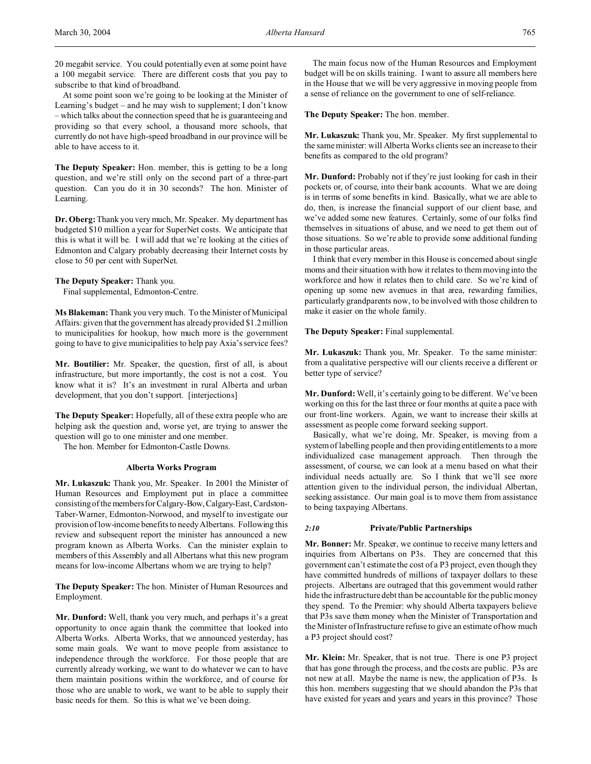20 megabit service. You could potentially even at some point have a 100 megabit service. There are different costs that you pay to subscribe to that kind of broadband.

At some point soon we're going to be looking at the Minister of Learning's budget – and he may wish to supplement; I don't know – which talks about the connection speed that he is guaranteeing and providing so that every school, a thousand more schools, that currently do not have high-speed broadband in our province will be able to have access to it.

**The Deputy Speaker:** Hon. member, this is getting to be a long question, and we're still only on the second part of a three-part question. Can you do it in 30 seconds? The hon. Minister of Learning.

**Dr. Oberg:**Thank you very much, Mr. Speaker. My department has budgeted \$10 million a year for SuperNet costs. We anticipate that this is what it will be. I will add that we're looking at the cities of Edmonton and Calgary probably decreasing their Internet costs by close to 50 per cent with SuperNet.

#### **The Deputy Speaker:** Thank you.

Final supplemental, Edmonton-Centre.

**Ms Blakeman:** Thank you very much. To the Minister of Municipal Affairs: given that the government has already provided \$1.2 million to municipalities for hookup, how much more is the government going to have to give municipalities to help pay Axia's service fees?

**Mr. Boutilier:** Mr. Speaker, the question, first of all, is about infrastructure, but more importantly, the cost is not a cost. You know what it is? It's an investment in rural Alberta and urban development, that you don't support. [interjections]

**The Deputy Speaker:** Hopefully, all of these extra people who are helping ask the question and, worse yet, are trying to answer the question will go to one minister and one member.

The hon. Member for Edmonton-Castle Downs.

## **Alberta Works Program**

**Mr. Lukaszuk:** Thank you, Mr. Speaker. In 2001 the Minister of Human Resources and Employment put in place a committee consisting of the members for Calgary-Bow,Calgary-East, Cardston-Taber-Warner, Edmonton-Norwood, and myself to investigate our provision of low-income benefits to needy Albertans. Following this review and subsequent report the minister has announced a new program known as Alberta Works. Can the minister explain to members of this Assembly and all Albertans what this new program means for low-income Albertans whom we are trying to help?

**The Deputy Speaker:** The hon. Minister of Human Resources and Employment.

**Mr. Dunford:** Well, thank you very much, and perhaps it's a great opportunity to once again thank the committee that looked into Alberta Works. Alberta Works, that we announced yesterday, has some main goals. We want to move people from assistance to independence through the workforce. For those people that are currently already working, we want to do whatever we can to have them maintain positions within the workforce, and of course for those who are unable to work, we want to be able to supply their basic needs for them. So this is what we've been doing.

The main focus now of the Human Resources and Employment budget will be on skills training. I want to assure all members here in the House that we will be very aggressive in moving people from a sense of reliance on the government to one of self-reliance.

**The Deputy Speaker:** The hon. member.

**Mr. Lukaszuk:** Thank you, Mr. Speaker. My first supplemental to the same minister: will Alberta Works clients see an increase to their benefits as compared to the old program?

**Mr. Dunford:** Probably not if they're just looking for cash in their pockets or, of course, into their bank accounts. What we are doing is in terms of some benefits in kind. Basically, what we are able to do, then, is increase the financial support of our client base, and we've added some new features. Certainly, some of our folks find themselves in situations of abuse, and we need to get them out of those situations. So we're able to provide some additional funding in those particular areas.

I think that every member in this House is concerned about single moms and their situation with how it relates to them moving into the workforce and how it relates then to child care. So we're kind of opening up some new avenues in that area, rewarding families, particularly grandparents now, to be involved with those children to make it easier on the whole family.

## **The Deputy Speaker:** Final supplemental.

**Mr. Lukaszuk:** Thank you, Mr. Speaker. To the same minister: from a qualitative perspective will our clients receive a different or better type of service?

**Mr. Dunford:** Well, it's certainly going to be different. We've been working on this for the last three or four months at quite a pace with our front-line workers. Again, we want to increase their skills at assessment as people come forward seeking support.

Basically, what we're doing, Mr. Speaker, is moving from a system of labelling people and then providing entitlements to a more individualized case management approach. Then through the assessment, of course, we can look at a menu based on what their individual needs actually are. So I think that we'll see more attention given to the individual person, the individual Albertan, seeking assistance. Our main goal is to move them from assistance to being taxpaying Albertans.

#### *2:10* **Private/Public Partnerships**

**Mr. Bonner:** Mr. Speaker, we continue to receive many letters and inquiries from Albertans on P3s. They are concerned that this government can't estimate the cost of a P3 project, even though they have committed hundreds of millions of taxpayer dollars to these projects. Albertans are outraged that this government would rather hide the infrastructure debt than be accountable for the public money they spend. To the Premier: why should Alberta taxpayers believe that P3s save them money when the Minister of Transportation and the Minister of Infrastructure refuse to give an estimate of how much a P3 project should cost?

**Mr. Klein:** Mr. Speaker, that is not true. There is one P3 project that has gone through the process, and the costs are public. P3s are not new at all. Maybe the name is new, the application of P3s. Is this hon. members suggesting that we should abandon the P3s that have existed for years and years and years in this province? Those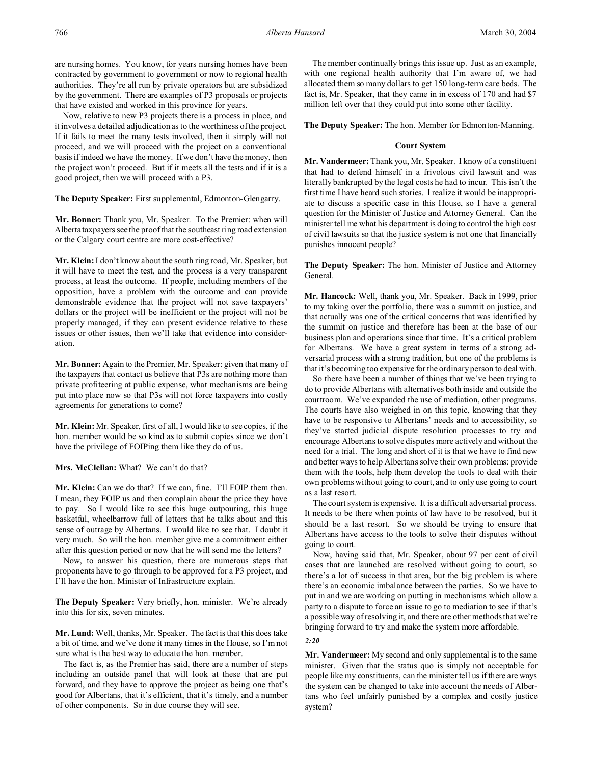are nursing homes. You know, for years nursing homes have been contracted by government to government or now to regional health authorities. They're all run by private operators but are subsidized by the government. There are examples of P3 proposals or projects that have existed and worked in this province for years.

Now, relative to new P3 projects there is a process in place, and it involves a detailed adjudication as to the worthiness of the project. If it fails to meet the many tests involved, then it simply will not proceed, and we will proceed with the project on a conventional basis if indeed we have the money. If we don't have the money, then the project won't proceed. But if it meets all the tests and if it is a good project, then we will proceed with a P3.

**The Deputy Speaker:** First supplemental, Edmonton-Glengarry.

**Mr. Bonner:** Thank you, Mr. Speaker. To the Premier: when will Alberta taxpayers see the proof that the southeast ring road extension or the Calgary court centre are more cost-effective?

**Mr. Klein:** I don't know about the south ring road, Mr. Speaker, but it will have to meet the test, and the process is a very transparent process, at least the outcome. If people, including members of the opposition, have a problem with the outcome and can provide demonstrable evidence that the project will not save taxpayers' dollars or the project will be inefficient or the project will not be properly managed, if they can present evidence relative to these issues or other issues, then we'll take that evidence into consideration.

**Mr. Bonner:** Again to the Premier, Mr. Speaker: given that many of the taxpayers that contact us believe that P3s are nothing more than private profiteering at public expense, what mechanisms are being put into place now so that P3s will not force taxpayers into costly agreements for generations to come?

**Mr. Klein:** Mr. Speaker, first of all, I would like to see copies, if the hon. member would be so kind as to submit copies since we don't have the privilege of FOIPing them like they do of us.

**Mrs. McClellan:** What? We can't do that?

**Mr. Klein:** Can we do that? If we can, fine. I'll FOIP them then. I mean, they FOIP us and then complain about the price they have to pay. So I would like to see this huge outpouring, this huge basketful, wheelbarrow full of letters that he talks about and this sense of outrage by Albertans. I would like to see that. I doubt it very much. So will the hon. member give me a commitment either after this question period or now that he will send me the letters?

Now, to answer his question, there are numerous steps that proponents have to go through to be approved for a P3 project, and I'll have the hon. Minister of Infrastructure explain.

**The Deputy Speaker:** Very briefly, hon. minister. We're already into this for six, seven minutes.

**Mr. Lund:** Well, thanks, Mr. Speaker. The fact is that this does take a bit of time, and we've done it many times in the House, so I'm not sure what is the best way to educate the hon. member.

The fact is, as the Premier has said, there are a number of steps including an outside panel that will look at these that are put forward, and they have to approve the project as being one that's good for Albertans, that it's efficient, that it's timely, and a number of other components. So in due course they will see.

The member continually brings this issue up. Just as an example, with one regional health authority that I'm aware of, we had allocated them so many dollars to get 150 long-term care beds. The fact is, Mr. Speaker, that they came in in excess of 170 and had \$7 million left over that they could put into some other facility.

**The Deputy Speaker:** The hon. Member for Edmonton-Manning.

## **Court System**

**Mr. Vandermeer:** Thank you, Mr. Speaker. I know of a constituent that had to defend himself in a frivolous civil lawsuit and was literally bankrupted by the legal costs he had to incur. This isn't the first time I have heard such stories. I realize it would be inappropriate to discuss a specific case in this House, so I have a general question for the Minister of Justice and Attorney General. Can the minister tell me what his department is doing to control the high cost of civil lawsuits so that the justice system is not one that financially punishes innocent people?

**The Deputy Speaker:** The hon. Minister of Justice and Attorney General.

**Mr. Hancock:** Well, thank you, Mr. Speaker. Back in 1999, prior to my taking over the portfolio, there was a summit on justice, and that actually was one of the critical concerns that was identified by the summit on justice and therefore has been at the base of our business plan and operations since that time. It's a critical problem for Albertans. We have a great system in terms of a strong adversarial process with a strong tradition, but one of the problems is that it's becoming too expensive for the ordinary person to deal with.

So there have been a number of things that we've been trying to do to provide Albertans with alternatives both inside and outside the courtroom. We've expanded the use of mediation, other programs. The courts have also weighed in on this topic, knowing that they have to be responsive to Albertans' needs and to accessibility, so they've started judicial dispute resolution processes to try and encourage Albertans to solve disputes more actively and without the need for a trial. The long and short of it is that we have to find new and better ways to help Albertans solve their own problems: provide them with the tools, help them develop the tools to deal with their own problems without going to court, and to only use going to court as a last resort.

The court system is expensive. It is a difficult adversarial process. It needs to be there when points of law have to be resolved, but it should be a last resort. So we should be trying to ensure that Albertans have access to the tools to solve their disputes without going to court.

Now, having said that, Mr. Speaker, about 97 per cent of civil cases that are launched are resolved without going to court, so there's a lot of success in that area, but the big problem is where there's an economic imbalance between the parties. So we have to put in and we are working on putting in mechanisms which allow a party to a dispute to force an issue to go to mediation to see if that's a possible way of resolving it, and there are other methods that we're bringing forward to try and make the system more affordable.

*2:20*

**Mr. Vandermeer:** My second and only supplemental is to the same minister. Given that the status quo is simply not acceptable for people like my constituents, can the minister tell us if there are ways the system can be changed to take into account the needs of Albertans who feel unfairly punished by a complex and costly justice system?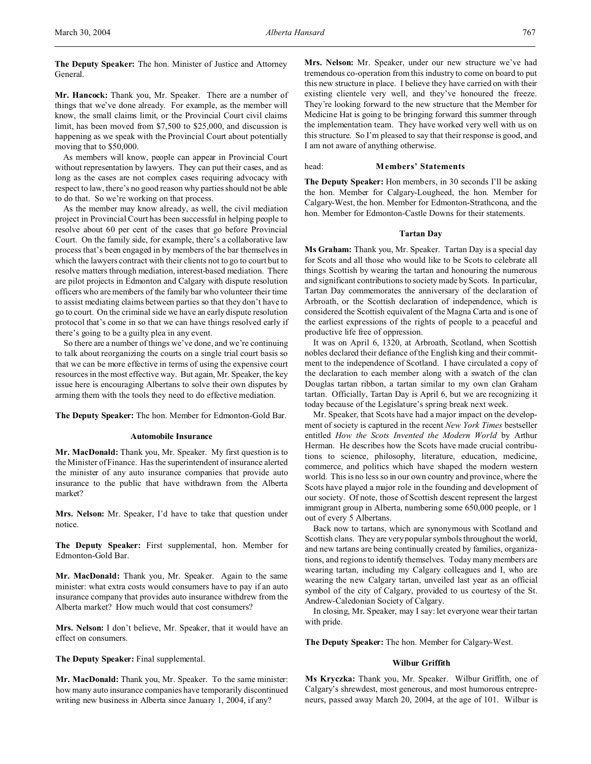**The Deputy Speaker:** The hon. Minister of Justice and Attorney General.

**Mr. Hancock:** Thank you, Mr. Speaker. There are a number of things that we've done already. For example, as the member will know, the small claims limit, or the Provincial Court civil claims limit, has been moved from \$7,500 to \$25,000, and discussion is happening as we speak with the Provincial Court about potentially moving that to \$50,000.

As members will know, people can appear in Provincial Court without representation by lawyers. They can put their cases, and as long as the cases are not complex cases requiring advocacy with respect to law, there's no good reason why parties should not be able to do that. So we're working on that process.

As the member may know already, as well, the civil mediation project in Provincial Court has been successful in helping people to resolve about 60 per cent of the cases that go before Provincial Court. On the family side, for example, there's a collaborative law process that's been engaged in by members of the bar themselves in which the lawyers contract with their clients not to go to court but to resolve matters through mediation, interest-based mediation. There are pilot projects in Edmonton and Calgary with dispute resolution officers who are members of the family bar who volunteer their time to assist mediating claims between parties so that they don't have to go to court. On the criminal side we have an early dispute resolution protocol that's come in so that we can have things resolved early if there's going to be a guilty plea in any event.

So there are a number of things we've done, and we're continuing to talk about reorganizing the courts on a single trial court basis so that we can be more effective in terms of using the expensive court resources in the most effective way. But again, Mr. Speaker, the key issue here is encouraging Albertans to solve their own disputes by arming them with the tools they need to do effective mediation.

**The Deputy Speaker:** The hon. Member for Edmonton-Gold Bar.

## **Automobile Insurance**

**Mr. MacDonald:** Thank you, Mr. Speaker. My first question is to the Minister of Finance. Has the superintendent of insurance alerted the minister of any auto insurance companies that provide auto insurance to the public that have withdrawn from the Alberta market?

**Mrs. Nelson:** Mr. Speaker, I'd have to take that question under notice.

**The Deputy Speaker:** First supplemental, hon. Member for Edmonton-Gold Bar.

**Mr. MacDonald:** Thank you, Mr. Speaker. Again to the same minister: what extra costs would consumers have to pay if an auto insurance company that provides auto insurance withdrew from the Alberta market? How much would that cost consumers?

**Mrs. Nelson:** I don't believe, Mr. Speaker, that it would have an effect on consumers.

**The Deputy Speaker:** Final supplemental.

**Mr. MacDonald:** Thank you, Mr. Speaker. To the same minister: how many auto insurance companies have temporarily discontinued writing new business in Alberta since January 1, 2004, if any?

**Mrs. Nelson:** Mr. Speaker, under our new structure we've had tremendous co-operation from this industry to come on board to put this new structure in place. I believe they have carried on with their existing clientele very well, and they've honoured the freeze. They're looking forward to the new structure that the Member for Medicine Hat is going to be bringing forward this summer through the implementation team. They have worked very well with us on this structure. So I'm pleased to say that their response is good, and I am not aware of anything otherwise.

#### head: **Members' Statements**

**The Deputy Speaker:** Hon members, in 30 seconds I'll be asking the hon. Member for Calgary-Lougheed, the hon. Member for Calgary-West, the hon. Member for Edmonton-Strathcona, and the hon. Member for Edmonton-Castle Downs for their statements.

#### **Tartan Day**

**Ms Graham:** Thank you, Mr. Speaker. Tartan Day is a special day for Scots and all those who would like to be Scots to celebrate all things Scottish by wearing the tartan and honouring the numerous and significant contributions to society made by Scots. In particular, Tartan Day commemorates the anniversary of the declaration of Arbroath, or the Scottish declaration of independence, which is considered the Scottish equivalent of the Magna Carta and is one of the earliest expressions of the rights of people to a peaceful and productive life free of oppression.

It was on April 6, 1320, at Arbroath, Scotland, when Scottish nobles declared their defiance of the English king and their commitment to the independence of Scotland. I have circulated a copy of the declaration to each member along with a swatch of the clan Douglas tartan ribbon, a tartan similar to my own clan Graham tartan. Officially, Tartan Day is April 6, but we are recognizing it today because of the Legislature's spring break next week.

Mr. Speaker, that Scots have had a major impact on the development of society is captured in the recent *New York Times* bestseller entitled *How the Scots Invented the Modern World* by Arthur Herman. He describes how the Scots have made crucial contributions to science, philosophy, literature, education, medicine, commerce, and politics which have shaped the modern western world. This is no less so in our own country and province, where the Scots have played a major role in the founding and development of our society. Of note, those of Scottish descent represent the largest immigrant group in Alberta, numbering some 650,000 people, or 1 out of every 5 Albertans.

Back now to tartans, which are synonymous with Scotland and Scottish clans. They are very popular symbols throughout the world, and new tartans are being continually created by families, organizations, and regions to identify themselves. Today many members are wearing tartan, including my Calgary colleagues and I, who are wearing the new Calgary tartan, unveiled last year as an official symbol of the city of Calgary, provided to us courtesy of the St. Andrew-Caledonian Society of Calgary.

In closing, Mr. Speaker, may I say: let everyone wear their tartan with pride.

**The Deputy Speaker:** The hon. Member for Calgary-West.

## **Wilbur Griffith**

**Ms Kryczka:** Thank you, Mr. Speaker. Wilbur Griffith, one of Calgary's shrewdest, most generous, and most humorous entrepreneurs, passed away March 20, 2004, at the age of 101. Wilbur is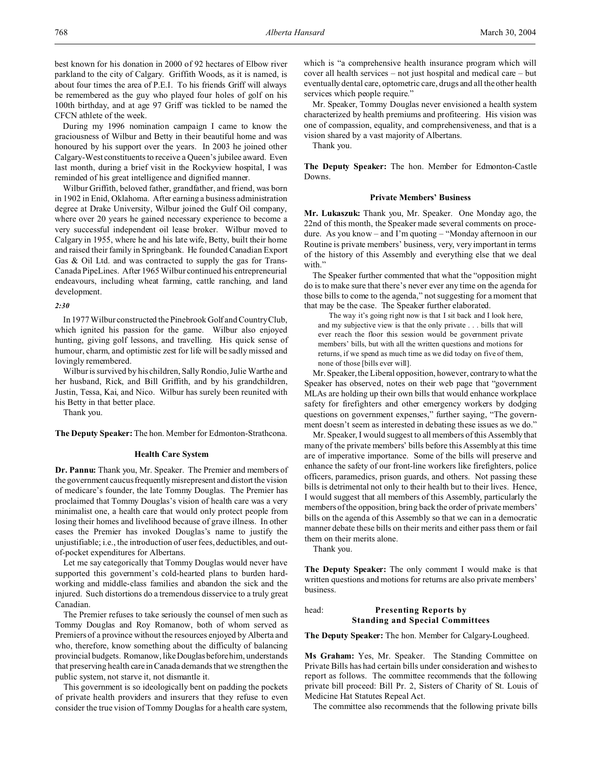best known for his donation in 2000 of 92 hectares of Elbow river parkland to the city of Calgary. Griffith Woods, as it is named, is about four times the area of P.E.I. To his friends Griff will always be remembered as the guy who played four holes of golf on his 100th birthday, and at age 97 Griff was tickled to be named the CFCN athlete of the week.

During my 1996 nomination campaign I came to know the graciousness of Wilbur and Betty in their beautiful home and was honoured by his support over the years. In 2003 he joined other Calgary-West constituents to receive a Queen's jubilee award. Even last month, during a brief visit in the Rockyview hospital, I was reminded of his great intelligence and dignified manner.

Wilbur Griffith, beloved father, grandfather, and friend, was born in 1902 in Enid, Oklahoma. After earning a business administration degree at Drake University, Wilbur joined the Gulf Oil company, where over 20 years he gained necessary experience to become a very successful independent oil lease broker. Wilbur moved to Calgary in 1955, where he and his late wife, Betty, built their home and raised their family in Springbank. He founded Canadian Export Gas & Oil Ltd. and was contracted to supply the gas for Trans-Canada PipeLines. After 1965 Wilbur continued his entrepreneurial endeavours, including wheat farming, cattle ranching, and land development.

#### *2:30*

In 1977 Wilbur constructed the Pinebrook Golf and Country Club, which ignited his passion for the game. Wilbur also enjoyed hunting, giving golf lessons, and travelling. His quick sense of humour, charm, and optimistic zest for life will be sadly missed and lovingly remembered.

Wilbur is survived by his children, Sally Rondio, Julie Warthe and her husband, Rick, and Bill Griffith, and by his grandchildren, Justin, Tessa, Kai, and Nico. Wilbur has surely been reunited with his Betty in that better place.

Thank you.

**The Deputy Speaker:** The hon. Member for Edmonton-Strathcona.

#### **Health Care System**

**Dr. Pannu:** Thank you, Mr. Speaker. The Premier and members of the government caucus frequently misrepresent and distort the vision of medicare's founder, the late Tommy Douglas. The Premier has proclaimed that Tommy Douglas's vision of health care was a very minimalist one, a health care that would only protect people from losing their homes and livelihood because of grave illness. In other cases the Premier has invoked Douglas's name to justify the unjustifiable; i.e., the introduction of user fees, deductibles, and outof-pocket expenditures for Albertans.

Let me say categorically that Tommy Douglas would never have supported this government's cold-hearted plans to burden hardworking and middle-class families and abandon the sick and the injured. Such distortions do a tremendous disservice to a truly great Canadian.

The Premier refuses to take seriously the counsel of men such as Tommy Douglas and Roy Romanow, both of whom served as Premiers of a province without the resources enjoyed by Alberta and who, therefore, know something about the difficulty of balancing provincial budgets. Romanow, like Douglas before him, understands that preserving health care in Canada demands that we strengthen the public system, not starve it, not dismantle it.

This government is so ideologically bent on padding the pockets of private health providers and insurers that they refuse to even consider the true vision of Tommy Douglas for a health care system,

which is "a comprehensive health insurance program which will cover all health services – not just hospital and medical care – but eventually dental care, optometric care, drugs and all the other health services which people require."

Mr. Speaker, Tommy Douglas never envisioned a health system characterized by health premiums and profiteering. His vision was one of compassion, equality, and comprehensiveness, and that is a vision shared by a vast majority of Albertans.

Thank you.

**The Deputy Speaker:** The hon. Member for Edmonton-Castle Downs.

#### **Private Members' Business**

**Mr. Lukaszuk:** Thank you, Mr. Speaker. One Monday ago, the 22nd of this month, the Speaker made several comments on procedure. As you know – and I'm quoting – "Monday afternoon in our Routine is private members' business, very, very important in terms of the history of this Assembly and everything else that we deal with.'

The Speaker further commented that what the "opposition might do is to make sure that there's never ever any time on the agenda for those bills to come to the agenda," not suggesting for a moment that that may be the case. The Speaker further elaborated.

The way it's going right now is that I sit back and I look here, and my subjective view is that the only private . . . bills that will ever reach the floor this session would be government private members' bills, but with all the written questions and motions for returns, if we spend as much time as we did today on five of them, none of those [bills ever will].

Mr. Speaker, the Liberal opposition, however, contrary to what the Speaker has observed, notes on their web page that "government MLAs are holding up their own bills that would enhance workplace safety for firefighters and other emergency workers by dodging questions on government expenses," further saying, "The government doesn't seem as interested in debating these issues as we do."

Mr. Speaker, I would suggest to all members of this Assembly that many of the private members' bills before this Assembly at this time are of imperative importance. Some of the bills will preserve and enhance the safety of our front-line workers like firefighters, police officers, paramedics, prison guards, and others. Not passing these bills is detrimental not only to their health but to their lives. Hence, I would suggest that all members of this Assembly, particularly the members of the opposition, bring back the order of private members' bills on the agenda of this Assembly so that we can in a democratic manner debate these bills on their merits and either pass them or fail them on their merits alone.

Thank you.

**The Deputy Speaker:** The only comment I would make is that written questions and motions for returns are also private members' business.

## head: **Presenting Reports by Standing and Special Committees**

**The Deputy Speaker:** The hon. Member for Calgary-Lougheed.

**Ms Graham:** Yes, Mr. Speaker. The Standing Committee on Private Bills has had certain bills under consideration and wishes to report as follows. The committee recommends that the following private bill proceed: Bill Pr. 2, Sisters of Charity of St. Louis of Medicine Hat Statutes Repeal Act.

The committee also recommends that the following private bills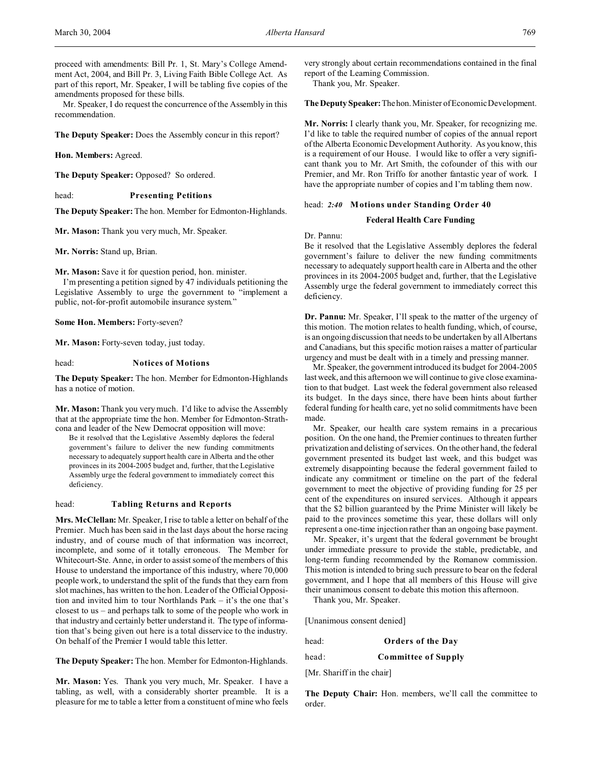proceed with amendments: Bill Pr. 1, St. Mary's College Amendment Act, 2004, and Bill Pr. 3, Living Faith Bible College Act. As part of this report, Mr. Speaker, I will be tabling five copies of the amendments proposed for these bills.

Mr. Speaker, I do request the concurrence of the Assembly in this recommendation.

**The Deputy Speaker:** Does the Assembly concur in this report?

**Hon. Members:** Agreed.

**The Deputy Speaker:** Opposed? So ordered.

head: **Presenting Petitions**

**The Deputy Speaker:** The hon. Member for Edmonton-Highlands.

**Mr. Mason:** Thank you very much, Mr. Speaker.

**Mr. Norris:** Stand up, Brian.

**Mr. Mason:** Save it for question period, hon. minister.

I'm presenting a petition signed by 47 individuals petitioning the Legislative Assembly to urge the government to "implement a public, not-for-profit automobile insurance system."

**Some Hon. Members:** Forty-seven?

**Mr. Mason:** Forty-seven today, just today.

head: **Notices of Motions**

**The Deputy Speaker:** The hon. Member for Edmonton-Highlands has a notice of motion.

**Mr. Mason:** Thank you very much. I'd like to advise the Assembly that at the appropriate time the hon. Member for Edmonton-Strathcona and leader of the New Democrat opposition will move:

Be it resolved that the Legislative Assembly deplores the federal government's failure to deliver the new funding commitments necessary to adequately support health care in Alberta and the other provinces in its 2004-2005 budget and, further, that the Legislative Assembly urge the federal government to immediately correct this deficiency.

## head: **Tabling Returns and Reports**

**Mrs. McClellan:** Mr. Speaker, I rise to table a letter on behalf of the Premier. Much has been said in the last days about the horse racing industry, and of course much of that information was incorrect, incomplete, and some of it totally erroneous. The Member for Whitecourt-Ste. Anne, in order to assist some of the members of this House to understand the importance of this industry, where 70,000 people work, to understand the split of the funds that they earn from slot machines, has written to the hon. Leader of the Official Opposition and invited him to tour Northlands Park – it's the one that's closest to us – and perhaps talk to some of the people who work in that industry and certainly better understand it. The type of information that's being given out here is a total disservice to the industry. On behalf of the Premier I would table this letter.

**The Deputy Speaker:** The hon. Member for Edmonton-Highlands.

**Mr. Mason:** Yes. Thank you very much, Mr. Speaker. I have a tabling, as well, with a considerably shorter preamble. It is a pleasure for me to table a letter from a constituent of mine who feels

very strongly about certain recommendations contained in the final report of the Learning Commission.

Thank you, Mr. Speaker.

**The Deputy Speaker:**Thehon.Minister of Economic Development.

**Mr. Norris:** I clearly thank you, Mr. Speaker, for recognizing me. I'd like to table the required number of copies of the annual report of the Alberta Economic Development Authority. As you know, this is a requirement of our House. I would like to offer a very significant thank you to Mr. Art Smith, the cofounder of this with our Premier, and Mr. Ron Triffo for another fantastic year of work. I have the appropriate number of copies and I'm tabling them now.

## head: *2:40* **Motions under Standing Order 40**

#### **Federal Health Care Funding**

Dr. Pannu:

Be it resolved that the Legislative Assembly deplores the federal government's failure to deliver the new funding commitments necessary to adequately support health care in Alberta and the other provinces in its 2004-2005 budget and, further, that the Legislative Assembly urge the federal government to immediately correct this deficiency.

**Dr. Pannu:** Mr. Speaker, I'll speak to the matter of the urgency of this motion. The motion relates to health funding, which, of course, is an ongoing discussion that needs to be undertaken by all Albertans and Canadians, but this specific motion raises a matter of particular urgency and must be dealt with in a timely and pressing manner.

Mr. Speaker, the government introduced its budget for 2004-2005 last week, and this afternoon we will continue to give close examination to that budget. Last week the federal government also released its budget. In the days since, there have been hints about further federal funding for health care, yet no solid commitments have been made.

Mr. Speaker, our health care system remains in a precarious position. On the one hand, the Premier continues to threaten further privatization and delisting of services. On the other hand, the federal government presented its budget last week, and this budget was extremely disappointing because the federal government failed to indicate any commitment or timeline on the part of the federal government to meet the objective of providing funding for 25 per cent of the expenditures on insured services. Although it appears that the \$2 billion guaranteed by the Prime Minister will likely be paid to the provinces sometime this year, these dollars will only represent a one-time injection rather than an ongoing base payment.

Mr. Speaker, it's urgent that the federal government be brought under immediate pressure to provide the stable, predictable, and long-term funding recommended by the Romanow commission. This motion is intended to bring such pressure to bear on the federal government, and I hope that all members of this House will give their unanimous consent to debate this motion this afternoon.

Thank you, Mr. Speaker.

[Unanimous consent denied]

head: **Orders of the Day**

head: **Committee of Supply**

[Mr. Shariff in the chair]

**The Deputy Chair:** Hon. members, we'll call the committee to order.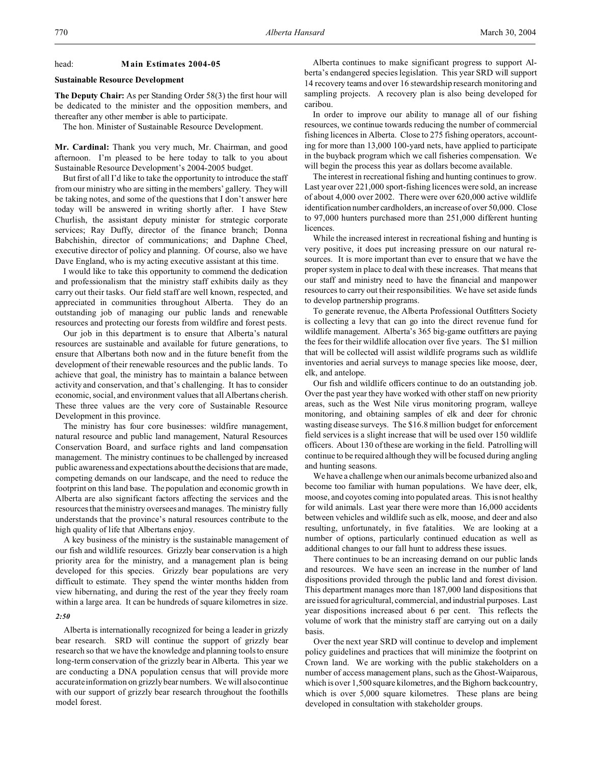#### head: **Main Estimates 2004-05**

#### **Sustainable Resource Development**

**The Deputy Chair:** As per Standing Order 58(3) the first hour will be dedicated to the minister and the opposition members, and thereafter any other member is able to participate.

The hon. Minister of Sustainable Resource Development.

**Mr. Cardinal:** Thank you very much, Mr. Chairman, and good afternoon. I'm pleased to be here today to talk to you about Sustainable Resource Development's 2004-2005 budget.

But first of all I'd like to take the opportunity to introduce the staff from our ministry who are sitting in the members' gallery. They will be taking notes, and some of the questions that I don't answer here today will be answered in writing shortly after. I have Stew Churlish, the assistant deputy minister for strategic corporate services; Ray Duffy, director of the finance branch; Donna Babchishin, director of communications; and Daphne Cheel, executive director of policy and planning. Of course, also we have Dave England, who is my acting executive assistant at this time.

I would like to take this opportunity to commend the dedication and professionalism that the ministry staff exhibits daily as they carry out their tasks. Our field staff are well known, respected, and appreciated in communities throughout Alberta. They do an outstanding job of managing our public lands and renewable resources and protecting our forests from wildfire and forest pests.

Our job in this department is to ensure that Alberta's natural resources are sustainable and available for future generations, to ensure that Albertans both now and in the future benefit from the development of their renewable resources and the public lands. To achieve that goal, the ministry has to maintain a balance between activity and conservation, and that's challenging. It has to consider economic, social, and environment values that all Albertans cherish. These three values are the very core of Sustainable Resource Development in this province.

The ministry has four core businesses: wildfire management, natural resource and public land management, Natural Resources Conservation Board, and surface rights and land compensation management. The ministry continues to be challenged by increased public awareness and expectations about the decisions that are made, competing demands on our landscape, and the need to reduce the footprint on this land base. The population and economic growth in Alberta are also significant factors affecting the services and the resources that the ministry oversees and manages. The ministry fully understands that the province's natural resources contribute to the high quality of life that Albertans enjoy.

A key business of the ministry is the sustainable management of our fish and wildlife resources. Grizzly bear conservation is a high priority area for the ministry, and a management plan is being developed for this species. Grizzly bear populations are very difficult to estimate. They spend the winter months hidden from view hibernating, and during the rest of the year they freely roam within a large area. It can be hundreds of square kilometres in size.

#### *2:50*

Alberta is internationally recognized for being a leader in grizzly bear research. SRD will continue the support of grizzly bear research so that we have the knowledge and planning tools to ensure long-term conservation of the grizzly bear in Alberta. This year we are conducting a DNA population census that will provide more accurate information on grizzly bear numbers. We will also continue with our support of grizzly bear research throughout the foothills model forest.

Alberta continues to make significant progress to support Alberta's endangered species legislation. This year SRD will support 14 recovery teams and over 16 stewardship research monitoring and sampling projects. A recovery plan is also being developed for caribou.

In order to improve our ability to manage all of our fishing resources, we continue towards reducing the number of commercial fishing licences in Alberta. Close to 275 fishing operators, accounting for more than 13,000 100-yard nets, have applied to participate in the buyback program which we call fisheries compensation. We will begin the process this year as dollars become available.

The interest in recreational fishing and hunting continues to grow. Last year over 221,000 sport-fishing licences were sold, an increase of about 4,000 over 2002. There were over 620,000 active wildlife identification number cardholders, an increase of over 50,000. Close to 97,000 hunters purchased more than 251,000 different hunting licences.

While the increased interest in recreational fishing and hunting is very positive, it does put increasing pressure on our natural resources. It is more important than ever to ensure that we have the proper system in place to deal with these increases. That means that our staff and ministry need to have the financial and manpower resources to carry out their responsibilities. We have set aside funds to develop partnership programs.

To generate revenue, the Alberta Professional Outfitters Society is collecting a levy that can go into the direct revenue fund for wildlife management. Alberta's 365 big-game outfitters are paying the fees for their wildlife allocation over five years. The \$1 million that will be collected will assist wildlife programs such as wildlife inventories and aerial surveys to manage species like moose, deer, elk, and antelope.

Our fish and wildlife officers continue to do an outstanding job. Over the past year they have worked with other staff on new priority areas, such as the West Nile virus monitoring program, walleye monitoring, and obtaining samples of elk and deer for chronic wasting disease surveys. The \$16.8 million budget for enforcement field services is a slight increase that will be used over 150 wildlife officers. About 130 of these are working in the field. Patrolling will continue to be required although they will be focused during angling and hunting seasons.

We have a challenge when our animals become urbanized also and become too familiar with human populations. We have deer, elk, moose, and coyotes coming into populated areas. This is not healthy for wild animals. Last year there were more than 16,000 accidents between vehicles and wildlife such as elk, moose, and deer and also resulting, unfortunately, in five fatalities. We are looking at a number of options, particularly continued education as well as additional changes to our fall hunt to address these issues.

There continues to be an increasing demand on our public lands and resources. We have seen an increase in the number of land dispositions provided through the public land and forest division. This department manages more than 187,000 land dispositions that are issued for agricultural, commercial, and industrial purposes. Last year dispositions increased about 6 per cent. This reflects the volume of work that the ministry staff are carrying out on a daily basis.

Over the next year SRD will continue to develop and implement policy guidelines and practices that will minimize the footprint on Crown land. We are working with the public stakeholders on a number of access management plans, such as the Ghost-Waiparous, which is over 1,500 square kilometres, and the Bighorn backcountry, which is over 5,000 square kilometres. These plans are being developed in consultation with stakeholder groups.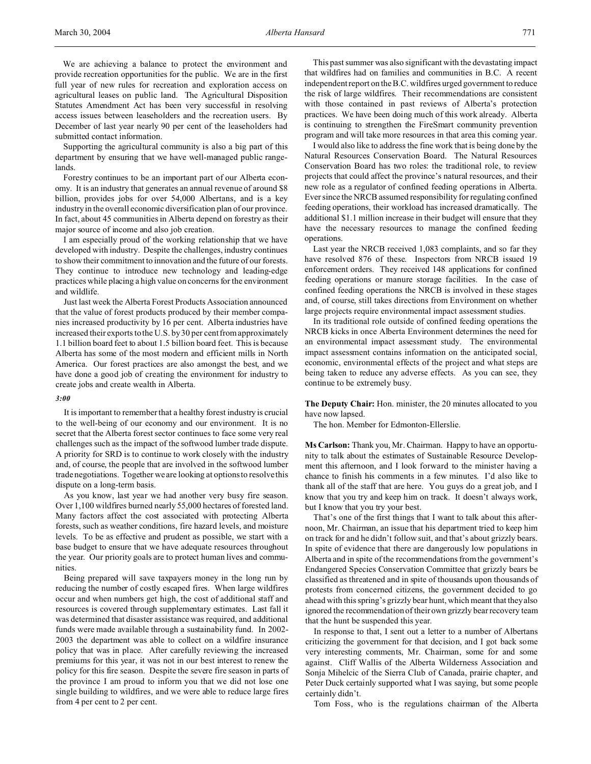We are achieving a balance to protect the environment and provide recreation opportunities for the public. We are in the first full year of new rules for recreation and exploration access on agricultural leases on public land. The Agricultural Disposition Statutes Amendment Act has been very successful in resolving access issues between leaseholders and the recreation users. By December of last year nearly 90 per cent of the leaseholders had submitted contact information.

Supporting the agricultural community is also a big part of this department by ensuring that we have well-managed public rangelands.

Forestry continues to be an important part of our Alberta economy. It is an industry that generates an annual revenue of around \$8 billion, provides jobs for over 54,000 Albertans, and is a key industry in the overall economic diversification plan of our province. In fact, about 45 communities in Alberta depend on forestry as their major source of income and also job creation.

I am especially proud of the working relationship that we have developed with industry. Despite the challenges, industry continues to show their commitment to innovation and the future of our forests. They continue to introduce new technology and leading-edge practices while placing a high value on concerns for the environment and wildlife.

Just last week the Alberta Forest Products Association announced that the value of forest products produced by their member companies increased productivity by 16 per cent. Alberta industries have increased their exports to the U.S. by 30 per cent from approximately 1.1 billion board feet to about 1.5 billion board feet. This is because Alberta has some of the most modern and efficient mills in North America. Our forest practices are also amongst the best, and we have done a good job of creating the environment for industry to create jobs and create wealth in Alberta.

### *3:00*

It is important to remember that a healthy forest industry is crucial to the well-being of our economy and our environment. It is no secret that the Alberta forest sector continues to face some very real challenges such as the impact of the softwood lumber trade dispute. A priority for SRD is to continue to work closely with the industry and, of course, the people that are involved in the softwood lumber trade negotiations. Together we are looking at options to resolve this dispute on a long-term basis.

As you know, last year we had another very busy fire season. Over 1,100 wildfires burned nearly 55,000 hectares of forested land. Many factors affect the cost associated with protecting Alberta forests, such as weather conditions, fire hazard levels, and moisture levels. To be as effective and prudent as possible, we start with a base budget to ensure that we have adequate resources throughout the year. Our priority goals are to protect human lives and communities.

Being prepared will save taxpayers money in the long run by reducing the number of costly escaped fires. When large wildfires occur and when numbers get high, the cost of additional staff and resources is covered through supplementary estimates. Last fall it was determined that disaster assistance was required, and additional funds were made available through a sustainability fund. In 2002- 2003 the department was able to collect on a wildfire insurance policy that was in place. After carefully reviewing the increased premiums for this year, it was not in our best interest to renew the policy for this fire season. Despite the severe fire season in parts of the province I am proud to inform you that we did not lose one single building to wildfires, and we were able to reduce large fires from 4 per cent to 2 per cent.

This past summer was also significant with the devastating impact that wildfires had on families and communities in B.C. A recent independent report on the B.C. wildfires urged government to reduce the risk of large wildfires. Their recommendations are consistent with those contained in past reviews of Alberta's protection practices. We have been doing much of this work already. Alberta is continuing to strengthen the FireSmart community prevention program and will take more resources in that area this coming year.

I would also like to address the fine work that is being done by the Natural Resources Conservation Board. The Natural Resources Conservation Board has two roles: the traditional role, to review projects that could affect the province's natural resources, and their new role as a regulator of confined feeding operations in Alberta. Ever since the NRCB assumed responsibility for regulating confined feeding operations, their workload has increased dramatically. The additional \$1.1 million increase in their budget will ensure that they have the necessary resources to manage the confined feeding operations.

Last year the NRCB received 1,083 complaints, and so far they have resolved 876 of these. Inspectors from NRCB issued 19 enforcement orders. They received 148 applications for confined feeding operations or manure storage facilities. In the case of confined feeding operations the NRCB is involved in these stages and, of course, still takes directions from Environment on whether large projects require environmental impact assessment studies.

In its traditional role outside of confined feeding operations the NRCB kicks in once Alberta Environment determines the need for an environmental impact assessment study. The environmental impact assessment contains information on the anticipated social, economic, environmental effects of the project and what steps are being taken to reduce any adverse effects. As you can see, they continue to be extremely busy.

**The Deputy Chair:** Hon. minister, the 20 minutes allocated to you have now lapsed.

The hon. Member for Edmonton-Ellerslie.

**Ms Carlson:** Thank you, Mr. Chairman. Happy to have an opportunity to talk about the estimates of Sustainable Resource Development this afternoon, and I look forward to the minister having a chance to finish his comments in a few minutes. I'd also like to thank all of the staff that are here. You guys do a great job, and I know that you try and keep him on track. It doesn't always work, but I know that you try your best.

That's one of the first things that I want to talk about this afternoon, Mr. Chairman, an issue that his department tried to keep him on track for and he didn't follow suit, and that's about grizzly bears. In spite of evidence that there are dangerously low populations in Alberta and in spite of the recommendations from the government's Endangered Species Conservation Committee that grizzly bears be classified as threatened and in spite of thousands upon thousands of protests from concerned citizens, the government decided to go ahead with this spring's grizzly bear hunt, which meant that they also ignored the recommendation of their own grizzly bear recovery team that the hunt be suspended this year.

In response to that, I sent out a letter to a number of Albertans criticizing the government for that decision, and I got back some very interesting comments, Mr. Chairman, some for and some against. Cliff Wallis of the Alberta Wilderness Association and Sonja Mihelcic of the Sierra Club of Canada, prairie chapter, and Peter Duck certainly supported what I was saying, but some people certainly didn't.

Tom Foss, who is the regulations chairman of the Alberta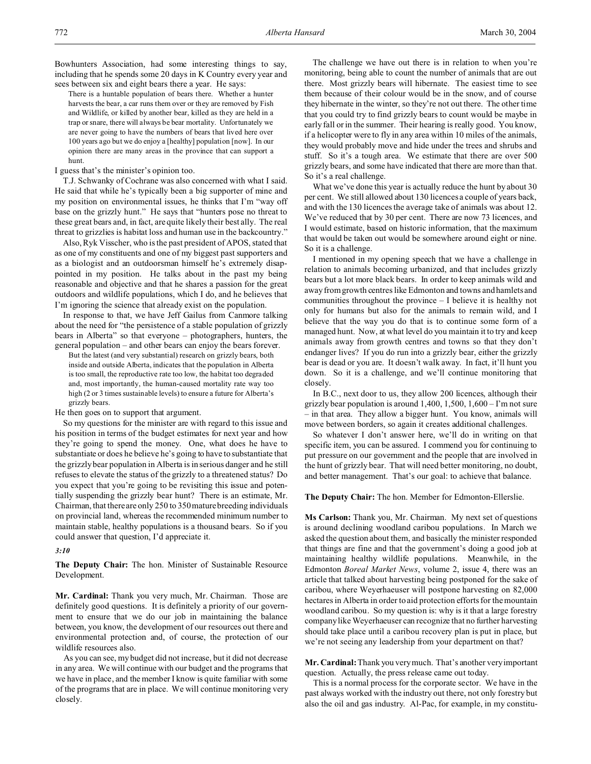There is a huntable population of bears there. Whether a hunter harvests the bear, a car runs them over or they are removed by Fish and Wildlife, or killed by another bear, killed as they are held in a trap or snare, there will always be bear mortality. Unfortunately we are never going to have the numbers of bears that lived here over 100 years ago but we do enjoy a [healthy] population [now]. In our opinion there are many areas in the province that can support a hunt.

I guess that's the minister's opinion too.

T.J. Schwanky of Cochrane was also concerned with what I said. He said that while he's typically been a big supporter of mine and my position on environmental issues, he thinks that I'm "way off base on the grizzly hunt." He says that "hunters pose no threat to these great bears and, in fact, are quite likely their best ally. The real threat to grizzlies is habitat loss and human use in the backcountry."

Also, Ryk Visscher, who is the past president of APOS, stated that as one of my constituents and one of my biggest past supporters and as a biologist and an outdoorsman himself he's extremely disappointed in my position. He talks about in the past my being reasonable and objective and that he shares a passion for the great outdoors and wildlife populations, which I do, and he believes that I'm ignoring the science that already exist on the population.

In response to that, we have Jeff Gailus from Canmore talking about the need for "the persistence of a stable population of grizzly bears in Alberta" so that everyone – photographers, hunters, the general population – and other bears can enjoy the bears forever.

But the latest (and very substantial) research on grizzly bears, both inside and outside Alberta, indicates that the population in Alberta is too small, the reproductive rate too low, the habitat too degraded and, most importantly, the human-caused mortality rate way too high (2 or 3 times sustainable levels) to ensure a future for Alberta's grizzly bears.

He then goes on to support that argument.

So my questions for the minister are with regard to this issue and his position in terms of the budget estimates for next year and how they're going to spend the money. One, what does he have to substantiate or does he believe he's going to have to substantiate that the grizzly bear population in Alberta is in serious danger and he still refuses to elevate the status of the grizzly to a threatened status? Do you expect that you're going to be revisiting this issue and potentially suspending the grizzly bear hunt? There is an estimate, Mr. Chairman, that there are only 250 to 350 mature breeding individuals on provincial land, whereas the recommended minimum number to maintain stable, healthy populations is a thousand bears. So if you could answer that question, I'd appreciate it.

#### *3:10*

**The Deputy Chair:** The hon. Minister of Sustainable Resource Development.

**Mr. Cardinal:** Thank you very much, Mr. Chairman. Those are definitely good questions. It is definitely a priority of our government to ensure that we do our job in maintaining the balance between, you know, the development of our resources out there and environmental protection and, of course, the protection of our wildlife resources also.

As you can see, my budget did not increase, but it did not decrease in any area. We will continue with our budget and the programs that we have in place, and the member I know is quite familiar with some of the programs that are in place. We will continue monitoring very closely.

The challenge we have out there is in relation to when you're monitoring, being able to count the number of animals that are out there. Most grizzly bears will hibernate. The easiest time to see them because of their colour would be in the snow, and of course they hibernate in the winter, so they're not out there. The other time that you could try to find grizzly bears to count would be maybe in early fall or in the summer. Their hearing is really good. You know, if a helicopter were to fly in any area within 10 miles of the animals, they would probably move and hide under the trees and shrubs and stuff. So it's a tough area. We estimate that there are over 500 grizzly bears, and some have indicated that there are more than that. So it's a real challenge.

What we've done this year is actually reduce the hunt by about 30 per cent. We still allowed about 130 licences a couple of years back, and with the 130 licences the average take of animals was about 12. We've reduced that by 30 per cent. There are now 73 licences, and I would estimate, based on historic information, that the maximum that would be taken out would be somewhere around eight or nine. So it is a challenge.

I mentioned in my opening speech that we have a challenge in relation to animals becoming urbanized, and that includes grizzly bears but a lot more black bears. In order to keep animals wild and away from growth centres like Edmonton and towns and hamlets and communities throughout the province – I believe it is healthy not only for humans but also for the animals to remain wild, and I believe that the way you do that is to continue some form of a managed hunt. Now, at what level do you maintain it to try and keep animals away from growth centres and towns so that they don't endanger lives? If you do run into a grizzly bear, either the grizzly bear is dead or you are. It doesn't walk away. In fact, it'll hunt you down. So it is a challenge, and we'll continue monitoring that closely.

In B.C., next door to us, they allow 200 licences, although their grizzly bear population is around  $1,400, 1,500, 1,600 - \Gamma$ m not sure – in that area. They allow a bigger hunt. You know, animals will move between borders, so again it creates additional challenges.

So whatever I don't answer here, we'll do in writing on that specific item, you can be assured. I commend you for continuing to put pressure on our government and the people that are involved in the hunt of grizzly bear. That will need better monitoring, no doubt, and better management. That's our goal: to achieve that balance.

**The Deputy Chair:** The hon. Member for Edmonton-Ellerslie.

**Ms Carlson:** Thank you, Mr. Chairman. My next set of questions is around declining woodland caribou populations. In March we asked the question about them, and basically the minister responded that things are fine and that the government's doing a good job at maintaining healthy wildlife populations. Meanwhile, in the Edmonton *Boreal Market News*, volume 2, issue 4, there was an article that talked about harvesting being postponed for the sake of caribou, where Weyerhaeuser will postpone harvesting on 82,000 hectares in Alberta in order to aid protection efforts for the mountain woodland caribou. So my question is: why is it that a large forestry company like Weyerhaeuser can recognize that no further harvesting should take place until a caribou recovery plan is put in place, but we're not seeing any leadership from your department on that?

**Mr. Cardinal:** Thank you very much. That's another very important question. Actually, the press release came out today.

This is a normal process for the corporate sector. We have in the past always worked with the industry out there, not only forestry but also the oil and gas industry. Al-Pac, for example, in my constitu-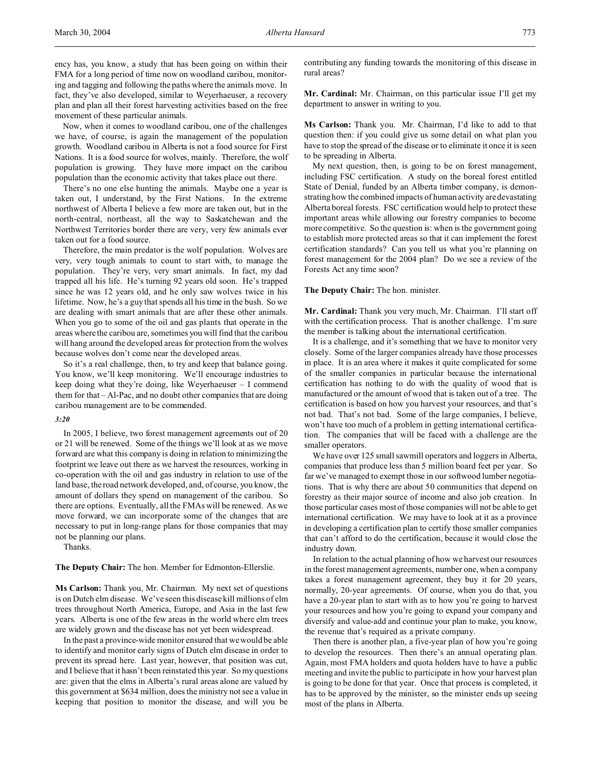ency has, you know, a study that has been going on within their FMA for a long period of time now on woodland caribou, monitoring and tagging and following the paths where the animals move. In fact, they've also developed, similar to Weyerhaeuser, a recovery plan and plan all their forest harvesting activities based on the free movement of these particular animals.

Now, when it comes to woodland caribou, one of the challenges we have, of course, is again the management of the population growth. Woodland caribou in Alberta is not a food source for First Nations. It is a food source for wolves, mainly. Therefore, the wolf population is growing. They have more impact on the caribou population than the economic activity that takes place out there.

There's no one else hunting the animals. Maybe one a year is taken out, I understand, by the First Nations. In the extreme northwest of Alberta I believe a few more are taken out, but in the north-central, northeast, all the way to Saskatchewan and the Northwest Territories border there are very, very few animals ever taken out for a food source.

Therefore, the main predator is the wolf population. Wolves are very, very tough animals to count to start with, to manage the population. They're very, very smart animals. In fact, my dad trapped all his life. He's turning 92 years old soon. He's trapped since he was 12 years old, and he only saw wolves twice in his lifetime. Now, he's a guy that spends all his time in the bush. So we are dealing with smart animals that are after these other animals. When you go to some of the oil and gas plants that operate in the areas where the caribou are, sometimes you will find that the caribou will hang around the developed areas for protection from the wolves because wolves don't come near the developed areas.

So it's a real challenge, then, to try and keep that balance going. You know, we'll keep monitoring. We'll encourage industries to keep doing what they're doing, like Weyerhaeuser – I commend them for that – Al-Pac, and no doubt other companies that are doing caribou management are to be commended.

#### *3:20*

In 2005, I believe, two forest management agreements out of 20 or 21 will be renewed. Some of the things we'll look at as we move forward are what this company is doing in relation to minimizing the footprint we leave out there as we harvest the resources, working in co-operation with the oil and gas industry in relation to use of the land base, the road network developed, and, of course, you know, the amount of dollars they spend on management of the caribou. So there are options. Eventually, all the FMAs will be renewed. As we move forward, we can incorporate some of the changes that are necessary to put in long-range plans for those companies that may not be planning our plans.

Thanks.

**The Deputy Chair:** The hon. Member for Edmonton-Ellerslie.

**Ms Carlson:** Thank you, Mr. Chairman. My next set of questions is on Dutch elm disease. We've seen this disease kill millions of elm trees throughout North America, Europe, and Asia in the last few years. Alberta is one of the few areas in the world where elm trees are widely grown and the disease has not yet been widespread.

In the past a province-wide monitor ensured that we would be able to identify and monitor early signs of Dutch elm disease in order to prevent its spread here. Last year, however, that position was cut, and I believe that it hasn't been reinstated this year. So my questions are: given that the elms in Alberta's rural areas alone are valued by this government at \$634 million, does the ministry not see a value in keeping that position to monitor the disease, and will you be contributing any funding towards the monitoring of this disease in rural areas?

**Mr. Cardinal:** Mr. Chairman, on this particular issue I'll get my department to answer in writing to you.

**Ms Carlson:** Thank you. Mr. Chairman, I'd like to add to that question then: if you could give us some detail on what plan you have to stop the spread of the disease or to eliminate it once it is seen to be spreading in Alberta.

My next question, then, is going to be on forest management, including FSC certification. A study on the boreal forest entitled State of Denial, funded by an Alberta timber company, is demonstrating how the combined impacts of human activity are devastating Alberta boreal forests. FSC certification would help to protect these important areas while allowing our forestry companies to become more competitive. So the question is: when is the government going to establish more protected areas so that it can implement the forest certification standards? Can you tell us what you're planning on forest management for the 2004 plan? Do we see a review of the Forests Act any time soon?

**The Deputy Chair:** The hon. minister.

**Mr. Cardinal:** Thank you very much, Mr. Chairman. I'll start off with the certification process. That is another challenge. I'm sure the member is talking about the international certification.

It is a challenge, and it's something that we have to monitor very closely. Some of the larger companies already have those processes in place. It is an area where it makes it quite complicated for some of the smaller companies in particular because the international certification has nothing to do with the quality of wood that is manufactured or the amount of wood that is taken out of a tree. The certification is based on how you harvest your resources, and that's not bad. That's not bad. Some of the large companies, I believe, won't have too much of a problem in getting international certification. The companies that will be faced with a challenge are the smaller operators.

We have over 125 small sawmill operators and loggers in Alberta, companies that produce less than 5 million board feet per year. So far we've managed to exempt those in our softwood lumber negotiations. That is why there are about 50 communities that depend on forestry as their major source of income and also job creation. In those particular cases most of those companies will not be able to get international certification. We may have to look at it as a province in developing a certification plan to certify those smaller companies that can't afford to do the certification, because it would close the industry down.

In relation to the actual planning of how we harvest our resources in the forest management agreements, number one, when a company takes a forest management agreement, they buy it for 20 years, normally, 20-year agreements. Of course, when you do that, you have a 20-year plan to start with as to how you're going to harvest your resources and how you're going to expand your company and diversify and value-add and continue your plan to make, you know, the revenue that's required as a private company.

Then there is another plan, a five-year plan of how you're going to develop the resources. Then there's an annual operating plan. Again, most FMA holders and quota holders have to have a public meeting and invite the public to participate in how your harvest plan is going to be done for that year. Once that process is completed, it has to be approved by the minister, so the minister ends up seeing most of the plans in Alberta.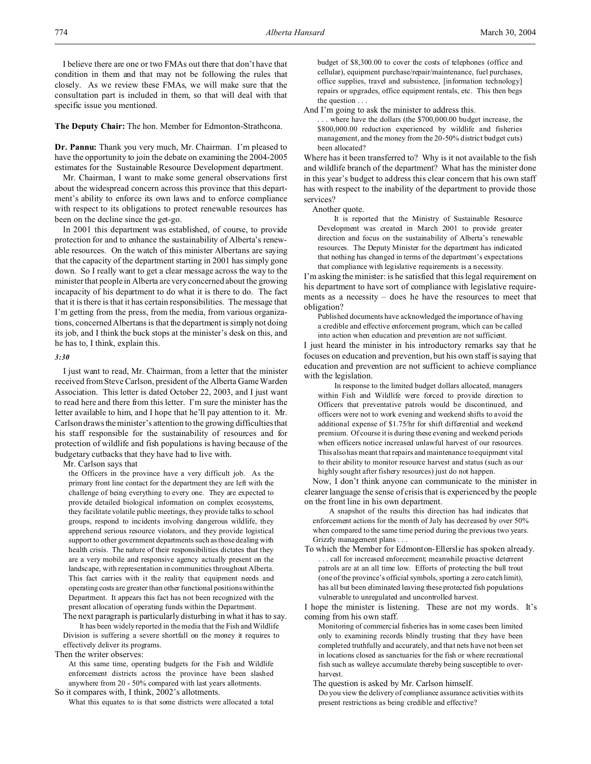#### **The Deputy Chair:** The hon. Member for Edmonton-Strathcona.

**Dr. Pannu:** Thank you very much, Mr. Chairman. I'm pleased to have the opportunity to join the debate on examining the 2004-2005 estimates for the Sustainable Resource Development department.

Mr. Chairman, I want to make some general observations first about the widespread concern across this province that this department's ability to enforce its own laws and to enforce compliance with respect to its obligations to protect renewable resources has been on the decline since the get-go.

In 2001 this department was established, of course, to provide protection for and to enhance the sustainability of Alberta's renewable resources. On the watch of this minister Albertans are saying that the capacity of the department starting in 2001 has simply gone down. So I really want to get a clear message across the way to the minister that people in Alberta are very concerned about the growing incapacity of his department to do what it is there to do. The fact that it is there is that it has certain responsibilities. The message that I'm getting from the press, from the media, from various organizations, concerned Albertans is that the department is simply not doing its job, and I think the buck stops at the minister's desk on this, and he has to, I think, explain this.

#### *3:30*

I just want to read, Mr. Chairman, from a letter that the minister received from Steve Carlson, president of the Alberta Game Warden Association. This letter is dated October 22, 2003, and I just want to read here and there from this letter. I'm sure the minister has the letter available to him, and I hope that he'll pay attention to it. Mr. Carlson draws the minister's attention to the growing difficulties that his staff responsible for the sustainability of resources and for protection of wildlife and fish populations is having because of the budgetary cutbacks that they have had to live with.

Mr. Carlson says that

the Officers in the province have a very difficult job. As the primary front line contact for the department they are left with the challenge of being everything to every one. They are expected to provide detailed biological information on complex ecosystems, they facilitate volatile public meetings, they provide talks to school groups, respond to incidents involving dangerous wildlife, they apprehend serious resource violators, and they provide logistical support to other government departments such as those dealing with health crisis. The nature of their responsibilities dictates that they are a very mobile and responsive agency actually present on the landscape, with representation in communities throughout Alberta. This fact carries with it the reality that equipment needs and operating costs are greater than other functional positions within the Department. It appears this fact has not been recognized with the present allocation of operating funds within the Department.

The next paragraph is particularly disturbing in what it has to say. It has been widely reported in the media that the Fish and Wildlife Division is suffering a severe shortfall on the money it requires to

effectively deliver its programs.

Then the writer observes:

At this same time, operating budgets for the Fish and Wildlife enforcement districts across the province have been slashed anywhere from 20 - 50% compared with last years allotments. So it compares with, I think, 2002's allotments.

What this equates to is that some districts were allocated a total

budget of \$8,300.00 to cover the costs of telephones (office and cellular), equipment purchase/repair/maintenance, fuel purchases, office supplies, travel and subsistence, [information technology] repairs or upgrades, office equipment rentals, etc. This then begs the question . . .

And I'm going to ask the minister to address this.

. . . where have the dollars (the \$700,000.00 budget increase, the \$800,000.00 reduction experienced by wildlife and fisheries management, and the money from the 20-50% district budget cuts) been allocated?

Where has it been transferred to? Why is it not available to the fish and wildlife branch of the department? What has the minister done in this year's budget to address this clear concern that his own staff has with respect to the inability of the department to provide those services?

Another quote.

It is reported that the Ministry of Sustainable Resource Development was created in March 2001 to provide greater direction and focus on the sustainability of Alberta's renewable resources. The Deputy Minister for the department has indicated that nothing has changed in terms of the department's expectations that compliance with legislative requirements is a necessity.

I'm asking the minister: is he satisfied that this legal requirement on his department to have sort of compliance with legislative requirements as a necessity – does he have the resources to meet that obligation?

Published documents have acknowledged the importance of having a credible and effective enforcement program, which can be called into action when education and prevention are not sufficient.

I just heard the minister in his introductory remarks say that he focuses on education and prevention, but his own staff is saying that education and prevention are not sufficient to achieve compliance with the legislation.

In response to the limited budget dollars allocated, managers within Fish and Wildlife were forced to provide direction to Officers that preventative patrols would be discontinued, and officers were not to work evening and weekend shifts to avoid the additional expense of \$1.75/hr for shift differential and weekend premium. Of course it is during these evening and weekend periods when officers notice increased unlawful harvest of our resources. This also has meant that repairs and maintenance to equipment vital to their ability to monitor resource harvest and status (such as our highly sought after fishery resources) just do not happen.

Now, I don't think anyone can communicate to the minister in clearer language the sense of crisis that is experienced by the people on the front line in his own department.

A snapshot of the results this direction has had indicates that enforcement actions for the month of July has decreased by over 50% when compared to the same time period during the previous two years. Grizzly management plans . . .

To which the Member for Edmonton-Ellerslie has spoken already. . . . call for increased enforcement; meanwhile proactive deterrent patrols are at an all time low. Efforts of protecting the bull trout (one of the province's official symbols, sporting a zero catch limit), has all but been eliminated leaving these protected fish populations vulnerable to unregulated and uncontrolled harvest.

I hope the minister is listening. These are not my words. It's coming from his own staff.

Monitoring of commercial fisheries has in some cases been limited only to examining records blindly trusting that they have been completed truthfully and accurately, and that nets have not been set in locations closed as sanctuaries for the fish or where recreational fish such as walleye accumulate thereby being susceptible to overharvest.

The question is asked by Mr. Carlson himself. Do you view the delivery of compliance assurance activities with its present restrictions as being credible and effective?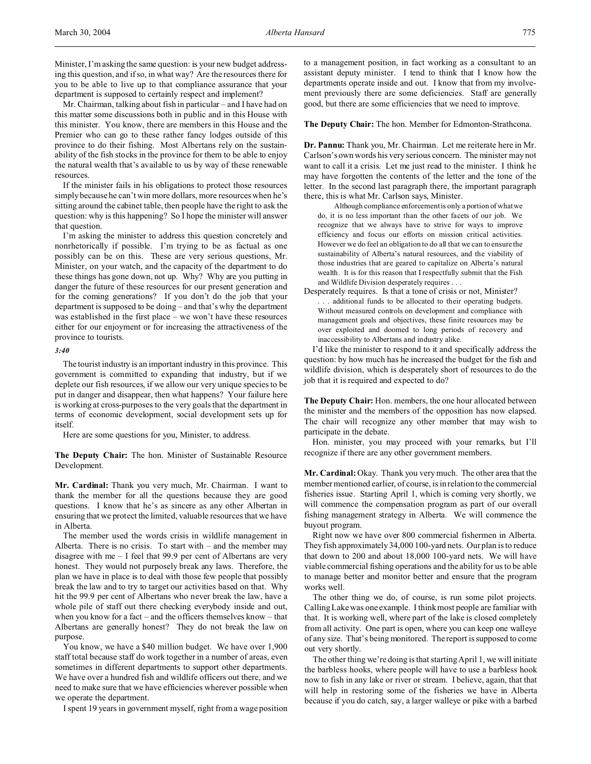Mr. Chairman, talking about fish in particular – and I have had on this matter some discussions both in public and in this House with this minister. You know, there are members in this House and the Premier who can go to these rather fancy lodges outside of this province to do their fishing. Most Albertans rely on the sustainability of the fish stocks in the province for them to be able to enjoy the natural wealth that's available to us by way of these renewable resources.

If the minister fails in his obligations to protect those resources simply because he can't win more dollars, more resources when he's sitting around the cabinet table, then people have the right to ask the question: why is this happening? So I hope the minister will answer that question.

I'm asking the minister to address this question concretely and nonrhetorically if possible. I'm trying to be as factual as one possibly can be on this. These are very serious questions, Mr. Minister, on your watch, and the capacity of the department to do these things has gone down, not up. Why? Why are you putting in danger the future of these resources for our present generation and for the coming generations? If you don't do the job that your department is supposed to be doing – and that's why the department was established in the first place – we won't have these resources either for our enjoyment or for increasing the attractiveness of the province to tourists.

## *3:40*

The tourist industry is an important industry in this province. This government is committed to expanding that industry, but if we deplete our fish resources, if we allow our very unique species to be put in danger and disappear, then what happens? Your failure here is working at cross-purposes to the very goals that the department in terms of economic development, social development sets up for itself.

Here are some questions for you, Minister, to address.

**The Deputy Chair:** The hon. Minister of Sustainable Resource Development.

**Mr. Cardinal:** Thank you very much, Mr. Chairman. I want to thank the member for all the questions because they are good questions. I know that he's as sincere as any other Albertan in ensuring that we protect the limited, valuable resources that we have in Alberta.

The member used the words crisis in wildlife management in Alberta. There is no crisis. To start with – and the member may disagree with me – I feel that 99.9 per cent of Albertans are very honest. They would not purposely break any laws. Therefore, the plan we have in place is to deal with those few people that possibly break the law and to try to target our activities based on that. Why hit the 99.9 per cent of Albertans who never break the law, have a whole pile of staff out there checking everybody inside and out, when you know for a fact – and the officers themselves know – that Albertans are generally honest? They do not break the law on purpose.

You know, we have a \$40 million budget. We have over 1,900 staff total because staff do work together in a number of areas, even sometimes in different departments to support other departments. We have over a hundred fish and wildlife officers out there, and we need to make sure that we have efficiencies wherever possible when we operate the department.

I spent 19 years in government myself, right from a wage position

to a management position, in fact working as a consultant to an assistant deputy minister. I tend to think that I know how the departments operate inside and out. I know that from my involvement previously there are some deficiencies. Staff are generally good, but there are some efficiencies that we need to improve.

#### **The Deputy Chair:** The hon. Member for Edmonton-Strathcona.

**Dr. Pannu:** Thank you, Mr. Chairman. Let me reiterate here in Mr. Carlson's own words his very serious concern. The minister may not want to call it a crisis. Let me just read to the minister. I think he may have forgotten the contents of the letter and the tone of the letter. In the second last paragraph there, the important paragraph there, this is what Mr. Carlson says, Minister.

Although compliance enforcement is only a portion of what we do, it is no less important than the other facets of our job. We recognize that we always have to strive for ways to improve efficiency and focus our efforts on mission critical activities. However we do feel an obligation to do all that we can to ensure the sustainability of Alberta's natural resources, and the viability of those industries that are geared to capitalize on Alberta's natural wealth. It is for this reason that I respectfully submit that the Fish and Wildlife Division desperately requires . . .

Desperately requires. Is that a tone of crisis or not, Minister? . . . additional funds to be allocated to their operating budgets. Without measured controls on development and compliance with management goals and objectives, these finite resources may be over exploited and doomed to long periods of recovery and inaccessibility to Albertans and industry alike.

I'd like the minister to respond to it and specifically address the question: by how much has he increased the budget for the fish and wildlife division, which is desperately short of resources to do the job that it is required and expected to do?

**The Deputy Chair:** Hon. members, the one hour allocated between the minister and the members of the opposition has now elapsed. The chair will recognize any other member that may wish to participate in the debate.

Hon. minister, you may proceed with your remarks, but I'll recognize if there are any other government members.

**Mr. Cardinal:** Okay. Thank you very much. The other area that the member mentioned earlier, of course, is in relation to the commercial fisheries issue. Starting April 1, which is coming very shortly, we will commence the compensation program as part of our overall fishing management strategy in Alberta. We will commence the buyout program.

Right now we have over 800 commercial fishermen in Alberta. They fish approximately 34,000 100-yard nets. Our plan is to reduce that down to 200 and about 18,000 100-yard nets. We will have viable commercial fishing operations and the ability for us to be able to manage better and monitor better and ensure that the program works well.

The other thing we do, of course, is run some pilot projects. Calling Lake was one example. I think most people are familiar with that. It is working well, where part of the lake is closed completely from all activity. One part is open, where you can keep one walleye of any size. That's being monitored. The report is supposed to come out very shortly.

The other thing we're doing is that starting April 1, we will initiate the barbless hooks, where people will have to use a barbless hook now to fish in any lake or river or stream. I believe, again, that that will help in restoring some of the fisheries we have in Alberta because if you do catch, say, a larger walleye or pike with a barbed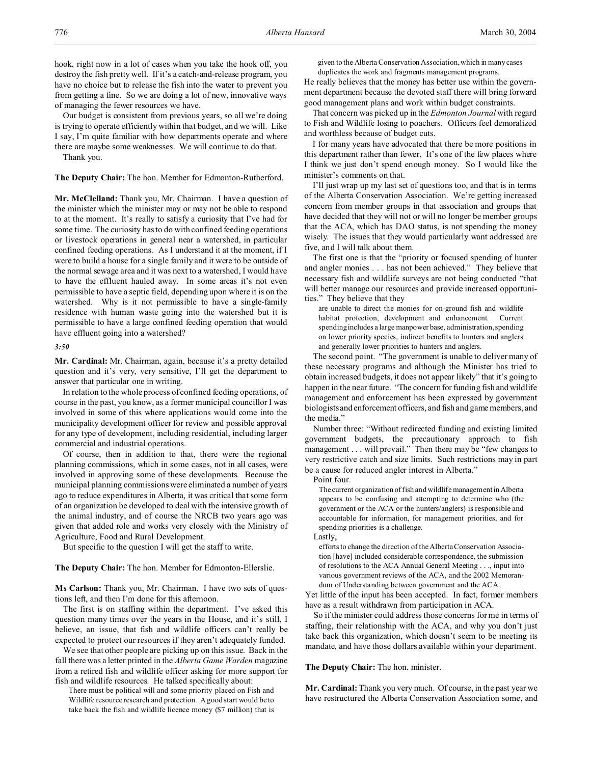hook, right now in a lot of cases when you take the hook off, you destroy the fish pretty well. If it's a catch-and-release program, you have no choice but to release the fish into the water to prevent you from getting a fine. So we are doing a lot of new, innovative ways of managing the fewer resources we have.

Our budget is consistent from previous years, so all we're doing is trying to operate efficiently within that budget, and we will. Like I say, I'm quite familiar with how departments operate and where there are maybe some weaknesses. We will continue to do that.

Thank you.

**The Deputy Chair:** The hon. Member for Edmonton-Rutherford.

**Mr. McClelland:** Thank you, Mr. Chairman. I have a question of the minister which the minister may or may not be able to respond to at the moment. It's really to satisfy a curiosity that I've had for some time. The curiosity has to do with confined feeding operations or livestock operations in general near a watershed, in particular confined feeding operations. As I understand it at the moment, if I were to build a house for a single family and it were to be outside of the normal sewage area and it was next to a watershed, I would have to have the effluent hauled away. In some areas it's not even permissible to have a septic field, depending upon where it is on the watershed. Why is it not permissible to have a single-family residence with human waste going into the watershed but it is permissible to have a large confined feeding operation that would have effluent going into a watershed?

#### *3:50*

**Mr. Cardinal:** Mr. Chairman, again, because it's a pretty detailed question and it's very, very sensitive, I'll get the department to answer that particular one in writing.

In relation to the whole process of confined feeding operations, of course in the past, you know, as a former municipal councillor I was involved in some of this where applications would come into the municipality development officer for review and possible approval for any type of development, including residential, including larger commercial and industrial operations.

Of course, then in addition to that, there were the regional planning commissions, which in some cases, not in all cases, were involved in approving some of these developments. Because the municipal planning commissions were eliminated a number of years ago to reduce expenditures in Alberta, it was critical that some form of an organization be developed to deal with the intensive growth of the animal industry, and of course the NRCB two years ago was given that added role and works very closely with the Ministry of Agriculture, Food and Rural Development.

But specific to the question I will get the staff to write.

#### **The Deputy Chair:** The hon. Member for Edmonton-Ellerslie.

**Ms Carlson:** Thank you, Mr. Chairman. I have two sets of questions left, and then I'm done for this afternoon.

The first is on staffing within the department. I've asked this question many times over the years in the House, and it's still, I believe, an issue, that fish and wildlife officers can't really be expected to protect our resources if they aren't adequately funded.

We see that other people are picking up on this issue. Back in the fall there was a letter printed in the *Alberta Game Warden* magazine from a retired fish and wildlife officer asking for more support for fish and wildlife resources. He talked specifically about:

There must be political will and some priority placed on Fish and Wildlife resource research and protection. A good start would be to take back the fish and wildlife licence money (\$7 million) that is given to the Alberta Conservation Association, which in many cases duplicates the work and fragments management programs.

He really believes that the money has better use within the government department because the devoted staff there will bring forward good management plans and work within budget constraints.

That concern was picked up in the *Edmonton Journal* with regard to Fish and Wildlife losing to poachers. Officers feel demoralized and worthless because of budget cuts.

I for many years have advocated that there be more positions in this department rather than fewer. It's one of the few places where I think we just don't spend enough money. So I would like the minister's comments on that.

I'll just wrap up my last set of questions too, and that is in terms of the Alberta Conservation Association. We're getting increased concern from member groups in that association and groups that have decided that they will not or will no longer be member groups that the ACA, which has DAO status, is not spending the money wisely. The issues that they would particularly want addressed are five, and I will talk about them.

The first one is that the "priority or focused spending of hunter and angler monies . . . has not been achieved." They believe that necessary fish and wildlife surveys are not being conducted "that will better manage our resources and provide increased opportunities." They believe that they

are unable to direct the monies for on-ground fish and wildlife habitat protection, development and enhancement. Current spending includes a large manpower base, administration, spending on lower priority species, indirect benefits to hunters and anglers and generally lower priorities to hunters and anglers.

The second point. "The government is unable to deliver many of these necessary programs and although the Minister has tried to obtain increased budgets, it does not appear likely" that it's going to happen in the near future. "The concern for funding fish and wildlife management and enforcement has been expressed by government biologists and enforcement officers, and fish and game members, and the media."

Number three: "Without redirected funding and existing limited government budgets, the precautionary approach to fish management . . . will prevail." Then there may be "few changes to very restrictive catch and size limits. Such restrictions may in part be a cause for reduced angler interest in Alberta."

Point four.

The current organization of fish and wildlife management inAlberta appears to be confusing and attempting to determine who (the government or the ACA or the hunters/anglers) is responsible and accountable for information, for management priorities, and for spending priorities is a challenge.

Lastly,

efforts to change the direction of the Alberta Conservation Association [have] included considerable correspondence, the submission of resolutions to the ACA Annual General Meeting . . ., input into various government reviews of the ACA, and the 2002 Memorandum of Understanding between government and the ACA.

Yet little of the input has been accepted. In fact, former members have as a result withdrawn from participation in ACA.

So if the minister could address those concerns for me in terms of staffing, their relationship with the ACA, and why you don't just take back this organization, which doesn't seem to be meeting its mandate, and have those dollars available within your department.

## **The Deputy Chair:** The hon. minister.

**Mr. Cardinal:** Thank you very much. Of course, in the past year we have restructured the Alberta Conservation Association some, and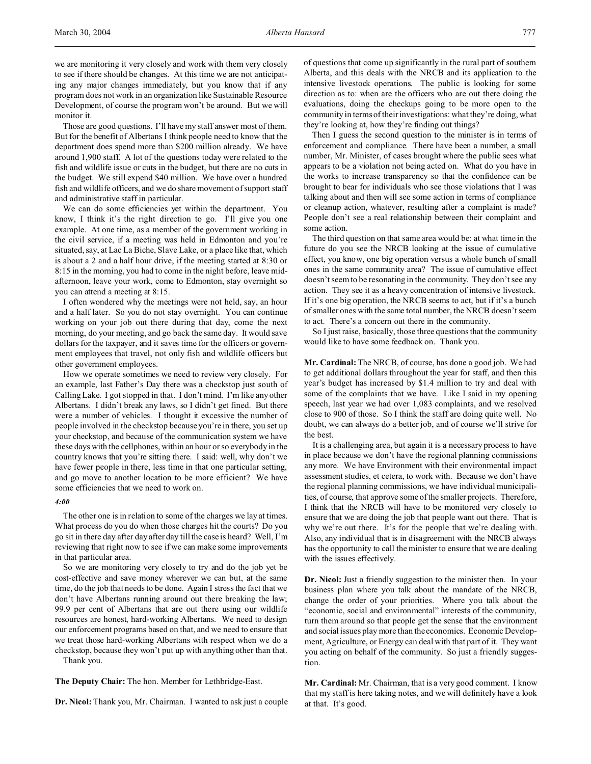we are monitoring it very closely and work with them very closely to see if there should be changes. At this time we are not anticipating any major changes immediately, but you know that if any program does not work in an organization like Sustainable Resource Development, of course the program won't be around. But we will monitor it.

Those are good questions. I'll have my staff answer most of them. But for the benefit of Albertans I think people need to know that the department does spend more than \$200 million already. We have around 1,900 staff. A lot of the questions today were related to the fish and wildlife issue or cuts in the budget, but there are no cuts in the budget. We still expend \$40 million. We have over a hundred fish and wildlife officers, and we do share movement of support staff and administrative staff in particular.

We can do some efficiencies yet within the department. You know, I think it's the right direction to go. I'll give you one example. At one time, as a member of the government working in the civil service, if a meeting was held in Edmonton and you're situated, say, at Lac La Biche, Slave Lake, or a place like that, which is about a 2 and a half hour drive, if the meeting started at 8:30 or 8:15 in the morning, you had to come in the night before, leave midafternoon, leave your work, come to Edmonton, stay overnight so you can attend a meeting at 8:15.

I often wondered why the meetings were not held, say, an hour and a half later. So you do not stay overnight. You can continue working on your job out there during that day, come the next morning, do your meeting, and go back the same day. It would save dollars for the taxpayer, and it saves time for the officers or government employees that travel, not only fish and wildlife officers but other government employees.

How we operate sometimes we need to review very closely. For an example, last Father's Day there was a checkstop just south of Calling Lake. I got stopped in that. I don't mind. I'm like any other Albertans. I didn't break any laws, so I didn't get fined. But there were a number of vehicles. I thought it excessive the number of people involved in the checkstop because you're in there, you set up your checkstop, and because of the communication system we have these days with the cellphones, within an hour or so everybody in the country knows that you're sitting there. I said: well, why don't we have fewer people in there, less time in that one particular setting, and go move to another location to be more efficient? We have some efficiencies that we need to work on.

#### *4:00*

The other one is in relation to some of the charges we lay at times. What process do you do when those charges hit the courts? Do you go sit in there day after day after day till the case is heard? Well, I'm reviewing that right now to see if we can make some improvements in that particular area.

So we are monitoring very closely to try and do the job yet be cost-effective and save money wherever we can but, at the same time, do the job that needs to be done. Again I stress the fact that we don't have Albertans running around out there breaking the law; 99.9 per cent of Albertans that are out there using our wildlife resources are honest, hard-working Albertans. We need to design our enforcement programs based on that, and we need to ensure that we treat those hard-working Albertans with respect when we do a checkstop, because they won't put up with anything other than that.

Thank you.

**The Deputy Chair:** The hon. Member for Lethbridge-East.

**Dr. Nicol:** Thank you, Mr. Chairman. I wanted to ask just a couple

of questions that come up significantly in the rural part of southern Alberta, and this deals with the NRCB and its application to the intensive livestock operations. The public is looking for some direction as to: when are the officers who are out there doing the evaluations, doing the checkups going to be more open to the community in terms of their investigations: what they're doing, what they're looking at, how they're finding out things?

Then I guess the second question to the minister is in terms of enforcement and compliance. There have been a number, a small number, Mr. Minister, of cases brought where the public sees what appears to be a violation not being acted on. What do you have in the works to increase transparency so that the confidence can be brought to bear for individuals who see those violations that I was talking about and then will see some action in terms of compliance or cleanup action, whatever, resulting after a complaint is made? People don't see a real relationship between their complaint and some action.

The third question on that same area would be: at what time in the future do you see the NRCB looking at the issue of cumulative effect, you know, one big operation versus a whole bunch of small ones in the same community area? The issue of cumulative effect doesn't seem to be resonating in the community. They don't see any action. They see it as a heavy concentration of intensive livestock. If it's one big operation, the NRCB seems to act, but if it's a bunch of smaller ones with the same total number, the NRCB doesn't seem to act. There's a concern out there in the community.

So I just raise, basically, those three questions that the community would like to have some feedback on. Thank you.

**Mr. Cardinal:** The NRCB, of course, has done a good job. We had to get additional dollars throughout the year for staff, and then this year's budget has increased by \$1.4 million to try and deal with some of the complaints that we have. Like I said in my opening speech, last year we had over 1,083 complaints, and we resolved close to 900 of those. So I think the staff are doing quite well. No doubt, we can always do a better job, and of course we'll strive for the best.

It is a challenging area, but again it is a necessary process to have in place because we don't have the regional planning commissions any more. We have Environment with their environmental impact assessment studies, et cetera, to work with. Because we don't have the regional planning commissions, we have individual municipalities, of course, that approve some of the smaller projects. Therefore, I think that the NRCB will have to be monitored very closely to ensure that we are doing the job that people want out there. That is why we're out there. It's for the people that we're dealing with. Also, any individual that is in disagreement with the NRCB always has the opportunity to call the minister to ensure that we are dealing with the issues effectively.

**Dr. Nicol:** Just a friendly suggestion to the minister then. In your business plan where you talk about the mandate of the NRCB, change the order of your priorities. Where you talk about the "economic, social and environmental" interests of the community, turn them around so that people get the sense that the environment and social issues play more than the economics. Economic Development, Agriculture, or Energy can deal with that part of it. They want you acting on behalf of the community. So just a friendly suggestion.

**Mr. Cardinal:** Mr. Chairman, that is a very good comment. I know that my staff is here taking notes, and we will definitely have a look at that. It's good.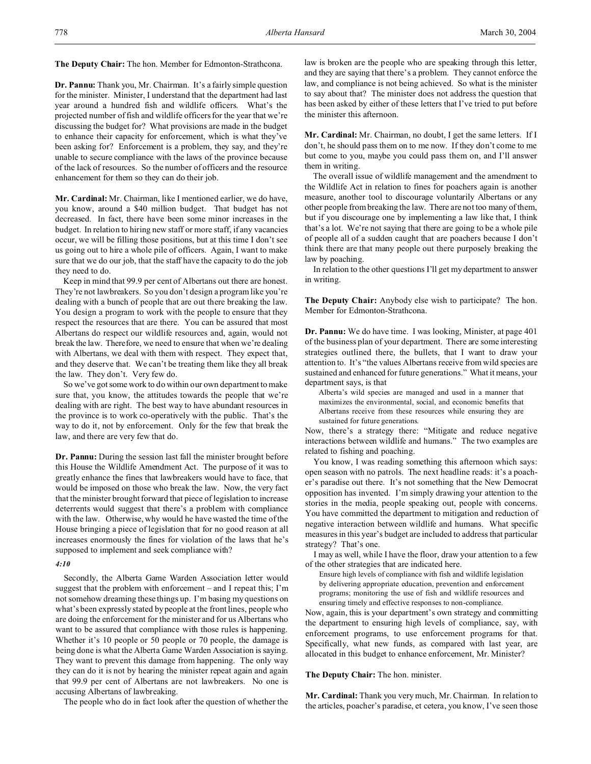**The Deputy Chair:** The hon. Member for Edmonton-Strathcona.

**Dr. Pannu:** Thank you, Mr. Chairman. It's a fairly simple question for the minister. Minister, I understand that the department had last year around a hundred fish and wildlife officers. What's the projected number of fish and wildlife officers for the year that we're discussing the budget for? What provisions are made in the budget to enhance their capacity for enforcement, which is what they've been asking for? Enforcement is a problem, they say, and they're unable to secure compliance with the laws of the province because of the lack of resources. So the number of officers and the resource enhancement for them so they can do their job.

**Mr. Cardinal:** Mr. Chairman, like I mentioned earlier, we do have, you know, around a \$40 million budget. That budget has not decreased. In fact, there have been some minor increases in the budget. In relation to hiring new staff or more staff, if any vacancies occur, we will be filling those positions, but at this time I don't see us going out to hire a whole pile of officers. Again, I want to make sure that we do our job, that the staff have the capacity to do the job they need to do.

Keep in mind that 99.9 per cent of Albertans out there are honest. They're not lawbreakers. So you don't design a program like you're dealing with a bunch of people that are out there breaking the law. You design a program to work with the people to ensure that they respect the resources that are there. You can be assured that most Albertans do respect our wildlife resources and, again, would not break the law. Therefore, we need to ensure that when we're dealing with Albertans, we deal with them with respect. They expect that, and they deserve that. We can't be treating them like they all break the law. They don't. Very few do.

So we've got some work to do within our own department to make sure that, you know, the attitudes towards the people that we're dealing with are right. The best way to have abundant resources in the province is to work co-operatively with the public. That's the way to do it, not by enforcement. Only for the few that break the law, and there are very few that do.

**Dr. Pannu:** During the session last fall the minister brought before this House the Wildlife Amendment Act. The purpose of it was to greatly enhance the fines that lawbreakers would have to face, that would be imposed on those who break the law. Now, the very fact that the minister brought forward that piece of legislation to increase deterrents would suggest that there's a problem with compliance with the law. Otherwise, why would he have wasted the time of the House bringing a piece of legislation that for no good reason at all increases enormously the fines for violation of the laws that he's supposed to implement and seek compliance with?

## *4:10*

Secondly, the Alberta Game Warden Association letter would suggest that the problem with enforcement – and I repeat this; I'm not somehow dreaming these things up. I'm basing my questions on what's been expressly stated by people at the front lines, people who are doing the enforcement for the minister and for us Albertans who want to be assured that compliance with those rules is happening. Whether it's 10 people or 50 people or 70 people, the damage is being done is what the Alberta Game Warden Association is saying. They want to prevent this damage from happening. The only way they can do it is not by hearing the minister repeat again and again that 99.9 per cent of Albertans are not lawbreakers. No one is accusing Albertans of lawbreaking.

The people who do in fact look after the question of whether the

law is broken are the people who are speaking through this letter, and they are saying that there's a problem. They cannot enforce the law, and compliance is not being achieved. So what is the minister to say about that? The minister does not address the question that has been asked by either of these letters that I've tried to put before the minister this afternoon.

**Mr. Cardinal:** Mr. Chairman, no doubt, I get the same letters. If I don't, he should pass them on to me now. If they don't come to me but come to you, maybe you could pass them on, and I'll answer them in writing.

The overall issue of wildlife management and the amendment to the Wildlife Act in relation to fines for poachers again is another measure, another tool to discourage voluntarily Albertans or any other people from breaking the law. There are not too many of them, but if you discourage one by implementing a law like that, I think that's a lot. We're not saying that there are going to be a whole pile of people all of a sudden caught that are poachers because I don't think there are that many people out there purposely breaking the law by poaching.

In relation to the other questions I'll get my department to answer in writing.

**The Deputy Chair:** Anybody else wish to participate? The hon. Member for Edmonton-Strathcona.

**Dr. Pannu:** We do have time. I was looking, Minister, at page 401 of the business plan of your department. There are some interesting strategies outlined there, the bullets, that I want to draw your attention to. It's "the values Albertans receive from wild species are sustained and enhanced for future generations." What it means, your department says, is that

Alberta's wild species are managed and used in a manner that maximizes the environmental, social, and economic benefits that Albertans receive from these resources while ensuring they are sustained for future generations.

Now, there's a strategy there: "Mitigate and reduce negative interactions between wildlife and humans." The two examples are related to fishing and poaching.

You know, I was reading something this afternoon which says: open season with no patrols. The next headline reads: it's a poacher's paradise out there. It's not something that the New Democrat opposition has invented. I'm simply drawing your attention to the stories in the media, people speaking out, people with concerns. You have committed the department to mitigation and reduction of negative interaction between wildlife and humans. What specific measures in this year's budget are included to address that particular strategy? That's one.

I may as well, while I have the floor, draw your attention to a few of the other strategies that are indicated here.

Ensure high levels of compliance with fish and wildlife legislation by delivering appropriate education, prevention and enforcement programs; monitoring the use of fish and wildlife resources and ensuring timely and effective responses to non-compliance.

Now, again, this is your department's own strategy and committing the department to ensuring high levels of compliance, say, with enforcement programs, to use enforcement programs for that. Specifically, what new funds, as compared with last year, are allocated in this budget to enhance enforcement, Mr. Minister?

**The Deputy Chair:** The hon. minister.

**Mr. Cardinal:** Thank you very much, Mr. Chairman. In relation to the articles, poacher's paradise, et cetera, you know, I've seen those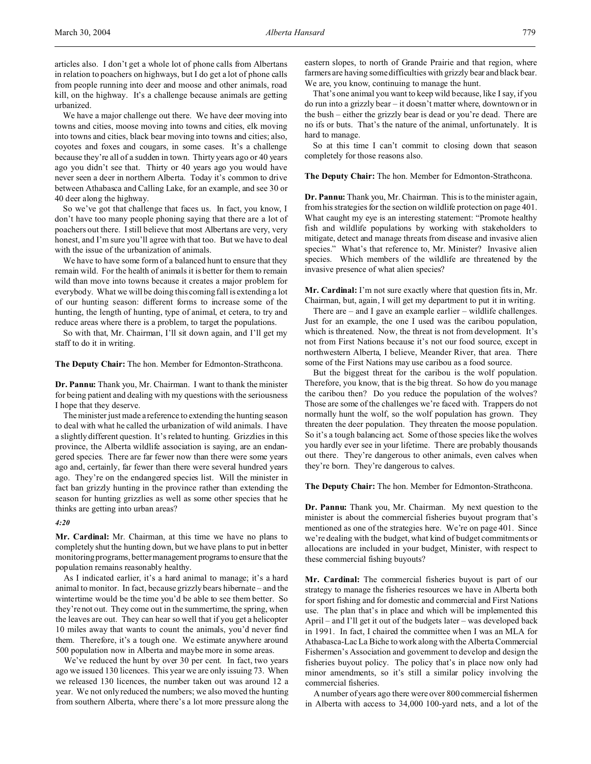We have a major challenge out there. We have deer moving into towns and cities, moose moving into towns and cities, elk moving into towns and cities, black bear moving into towns and cities; also, coyotes and foxes and cougars, in some cases. It's a challenge because they're all of a sudden in town. Thirty years ago or 40 years ago you didn't see that. Thirty or 40 years ago you would have never seen a deer in northern Alberta. Today it's common to drive between Athabasca and Calling Lake, for an example, and see 30 or 40 deer along the highway.

So we've got that challenge that faces us. In fact, you know, I don't have too many people phoning saying that there are a lot of poachers out there. I still believe that most Albertans are very, very honest, and I'm sure you'll agree with that too. But we have to deal with the issue of the urbanization of animals.

We have to have some form of a balanced hunt to ensure that they remain wild. For the health of animals it is better for them to remain wild than move into towns because it creates a major problem for everybody. What we will be doing this coming fall is extending a lot of our hunting season: different forms to increase some of the hunting, the length of hunting, type of animal, et cetera, to try and reduce areas where there is a problem, to target the populations.

So with that, Mr. Chairman, I'll sit down again, and I'll get my staff to do it in writing.

**The Deputy Chair:** The hon. Member for Edmonton-Strathcona.

**Dr. Pannu:** Thank you, Mr. Chairman. I want to thank the minister for being patient and dealing with my questions with the seriousness I hope that they deserve.

The minister just made a reference to extending the hunting season to deal with what he called the urbanization of wild animals. I have a slightly different question. It's related to hunting. Grizzlies in this province, the Alberta wildlife association is saying, are an endangered species. There are far fewer now than there were some years ago and, certainly, far fewer than there were several hundred years ago. They're on the endangered species list. Will the minister in fact ban grizzly hunting in the province rather than extending the season for hunting grizzlies as well as some other species that he thinks are getting into urban areas?

#### *4:20*

**Mr. Cardinal:** Mr. Chairman, at this time we have no plans to completely shut the hunting down, but we have plans to put in better monitoring programs, better management programs to ensure that the population remains reasonably healthy.

As I indicated earlier, it's a hard animal to manage; it's a hard animal to monitor. In fact, because grizzly bears hibernate – and the wintertime would be the time you'd be able to see them better. So they're not out. They come out in the summertime, the spring, when the leaves are out. They can hear so well that if you get a helicopter 10 miles away that wants to count the animals, you'd never find them. Therefore, it's a tough one. We estimate anywhere around 500 population now in Alberta and maybe more in some areas.

We've reduced the hunt by over 30 per cent. In fact, two years ago we issued 130 licences. This year we are only issuing 73. When we released 130 licences, the number taken out was around 12 a year. We not only reduced the numbers; we also moved the hunting from southern Alberta, where there's a lot more pressure along the eastern slopes, to north of Grande Prairie and that region, where farmers are having some difficulties with grizzly bear and black bear. We are, you know, continuing to manage the hunt.

That's one animal you want to keep wild because, like I say, if you do run into a grizzly bear – it doesn't matter where, downtown or in the bush – either the grizzly bear is dead or you're dead. There are no ifs or buts. That's the nature of the animal, unfortunately. It is hard to manage.

So at this time I can't commit to closing down that season completely for those reasons also.

**The Deputy Chair:** The hon. Member for Edmonton-Strathcona.

**Dr. Pannu:** Thank you, Mr. Chairman. This is to the minister again, from his strategies for the section on wildlife protection on page 401. What caught my eye is an interesting statement: "Promote healthy fish and wildlife populations by working with stakeholders to mitigate, detect and manage threats from disease and invasive alien species." What's that reference to, Mr. Minister? Invasive alien species. Which members of the wildlife are threatened by the invasive presence of what alien species?

**Mr. Cardinal:** I'm not sure exactly where that question fits in, Mr. Chairman, but, again, I will get my department to put it in writing.

There are – and I gave an example earlier – wildlife challenges. Just for an example, the one I used was the caribou population, which is threatened. Now, the threat is not from development. It's not from First Nations because it's not our food source, except in northwestern Alberta, I believe, Meander River, that area. There some of the First Nations may use caribou as a food source.

But the biggest threat for the caribou is the wolf population. Therefore, you know, that is the big threat. So how do you manage the caribou then? Do you reduce the population of the wolves? Those are some of the challenges we're faced with. Trappers do not normally hunt the wolf, so the wolf population has grown. They threaten the deer population. They threaten the moose population. So it's a tough balancing act. Some of those species like the wolves you hardly ever see in your lifetime. There are probably thousands out there. They're dangerous to other animals, even calves when they're born. They're dangerous to calves.

**The Deputy Chair:** The hon. Member for Edmonton-Strathcona.

**Dr. Pannu:** Thank you, Mr. Chairman. My next question to the minister is about the commercial fisheries buyout program that's mentioned as one of the strategies here. We're on page 401. Since we're dealing with the budget, what kind of budget commitments or allocations are included in your budget, Minister, with respect to these commercial fishing buyouts?

**Mr. Cardinal:** The commercial fisheries buyout is part of our strategy to manage the fisheries resources we have in Alberta both for sport fishing and for domestic and commercial and First Nations use. The plan that's in place and which will be implemented this April – and I'll get it out of the budgets later – was developed back in 1991. In fact, I chaired the committee when I was an MLA for Athabasca-Lac La Biche to work along with the Alberta Commercial Fishermen's Association and government to develop and design the fisheries buyout policy. The policy that's in place now only had minor amendments, so it's still a similar policy involving the commercial fisheries.

A number of years ago there were over 800 commercial fishermen in Alberta with access to 34,000 100-yard nets, and a lot of the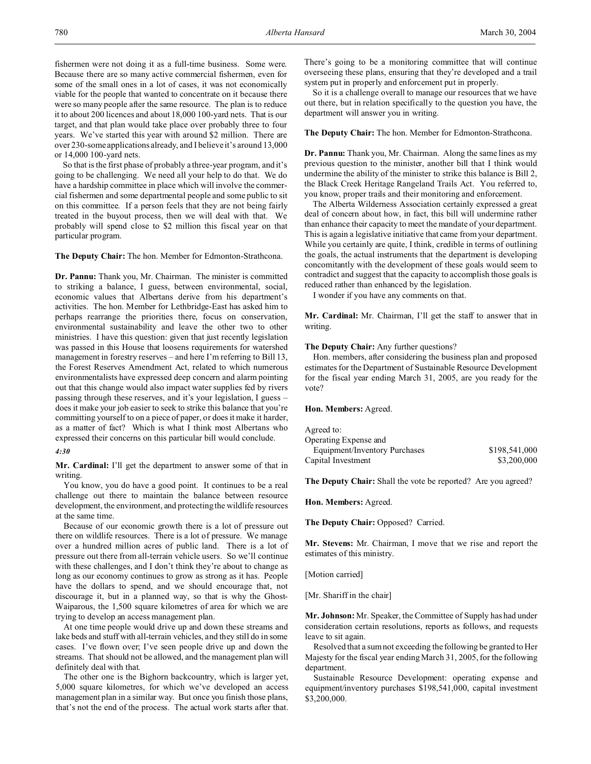fishermen were not doing it as a full-time business. Some were. Because there are so many active commercial fishermen, even for some of the small ones in a lot of cases, it was not economically viable for the people that wanted to concentrate on it because there were so many people after the same resource. The plan is to reduce it to about 200 licences and about 18,000 100-yard nets. That is our target, and that plan would take place over probably three to four years. We've started this year with around \$2 million. There are over 230-some applications already, and I believe it's around 13,000 or 14,000 100-yard nets.

So that is the first phase of probably a three-year program, and it's going to be challenging. We need all your help to do that. We do have a hardship committee in place which will involve the commercial fishermen and some departmental people and some public to sit on this committee. If a person feels that they are not being fairly treated in the buyout process, then we will deal with that. We probably will spend close to \$2 million this fiscal year on that particular program.

**The Deputy Chair:** The hon. Member for Edmonton-Strathcona.

**Dr. Pannu:** Thank you, Mr. Chairman. The minister is committed to striking a balance, I guess, between environmental, social, economic values that Albertans derive from his department's activities. The hon. Member for Lethbridge-East has asked him to perhaps rearrange the priorities there, focus on conservation, environmental sustainability and leave the other two to other ministries. I have this question: given that just recently legislation was passed in this House that loosens requirements for watershed management in forestry reserves – and here I'm referring to Bill 13, the Forest Reserves Amendment Act, related to which numerous environmentalists have expressed deep concern and alarm pointing out that this change would also impact water supplies fed by rivers passing through these reserves, and it's your legislation, I guess – does it make your job easier to seek to strike this balance that you're committing yourself to on a piece of paper, or does it make it harder, as a matter of fact? Which is what I think most Albertans who expressed their concerns on this particular bill would conclude.

#### *4:30*

**Mr. Cardinal:** I'll get the department to answer some of that in writing.

You know, you do have a good point. It continues to be a real challenge out there to maintain the balance between resource development, the environment, and protecting the wildlife resources at the same time.

Because of our economic growth there is a lot of pressure out there on wildlife resources. There is a lot of pressure. We manage over a hundred million acres of public land. There is a lot of pressure out there from all-terrain vehicle users. So we'll continue with these challenges, and I don't think they're about to change as long as our economy continues to grow as strong as it has. People have the dollars to spend, and we should encourage that, not discourage it, but in a planned way, so that is why the Ghost-Waiparous, the 1,500 square kilometres of area for which we are trying to develop an access management plan.

At one time people would drive up and down these streams and lake beds and stuff with all-terrain vehicles, and they still do in some cases. I've flown over; I've seen people drive up and down the streams. That should not be allowed, and the management plan will definitely deal with that.

The other one is the Bighorn backcountry, which is larger yet, 5,000 square kilometres, for which we've developed an access management plan in a similar way. But once you finish those plans, that's not the end of the process. The actual work starts after that.

There's going to be a monitoring committee that will continue overseeing these plans, ensuring that they're developed and a trail system put in properly and enforcement put in properly.

So it is a challenge overall to manage our resources that we have out there, but in relation specifically to the question you have, the department will answer you in writing.

**The Deputy Chair:** The hon. Member for Edmonton-Strathcona.

**Dr. Pannu:** Thank you, Mr. Chairman. Along the same lines as my previous question to the minister, another bill that I think would undermine the ability of the minister to strike this balance is Bill 2, the Black Creek Heritage Rangeland Trails Act. You referred to, you know, proper trails and their monitoring and enforcement.

The Alberta Wilderness Association certainly expressed a great deal of concern about how, in fact, this bill will undermine rather than enhance their capacity to meet the mandate of your department. This is again a legislative initiative that came from your department. While you certainly are quite, I think, credible in terms of outlining the goals, the actual instruments that the department is developing concomitantly with the development of these goals would seem to contradict and suggest that the capacity to accomplish those goals is reduced rather than enhanced by the legislation.

I wonder if you have any comments on that.

**Mr. Cardinal:** Mr. Chairman, I'll get the staff to answer that in writing.

## **The Deputy Chair:** Any further questions?

Hon. members, after considering the business plan and proposed estimates for the Department of Sustainable Resource Development for the fiscal year ending March 31, 2005, are you ready for the vote?

#### **Hon. Members:** Agreed.

| Agreed to:                    |               |
|-------------------------------|---------------|
| Operating Expense and         |               |
| Equipment/Inventory Purchases | \$198,541,000 |
| Capital Investment            | \$3,200,000   |

**The Deputy Chair:** Shall the vote be reported? Are you agreed?

**Hon. Members:** Agreed.

**The Deputy Chair:** Opposed? Carried.

**Mr. Stevens:** Mr. Chairman, I move that we rise and report the estimates of this ministry.

[Motion carried]

[Mr. Shariff in the chair]

**Mr. Johnson:** Mr. Speaker, the Committee of Supply has had under consideration certain resolutions, reports as follows, and requests leave to sit again.

Resolved that a sum not exceeding the following be granted to Her Majesty for the fiscal year ending March 31, 2005, for the following department.

Sustainable Resource Development: operating expense and equipment/inventory purchases \$198,541,000, capital investment \$3,200,000.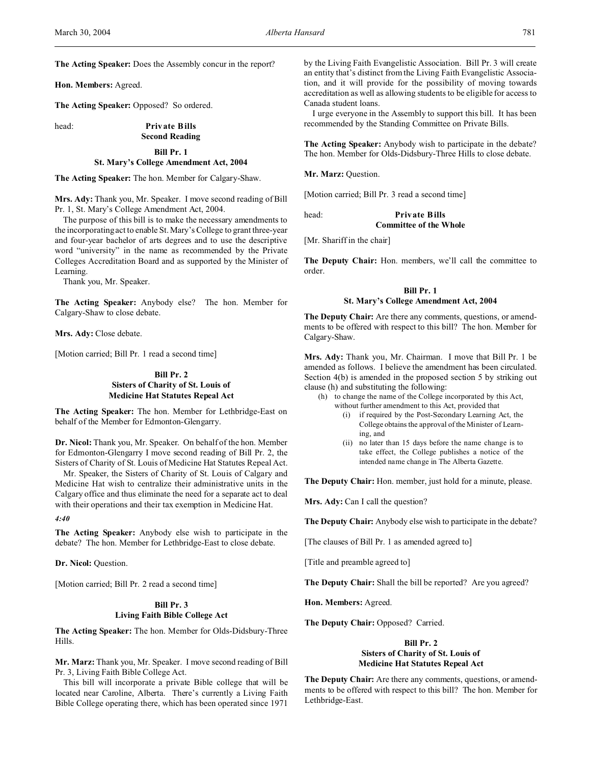**The Acting Speaker:** Does the Assembly concur in the report?

**Hon. Members:** Agreed.

**The Acting Speaker:** Opposed? So ordered.

head: **Private Bills**

# **Second Reading**

#### **Bill Pr. 1**

#### **St. Mary's College Amendment Act, 2004**

**The Acting Speaker:** The hon. Member for Calgary-Shaw.

**Mrs. Ady:** Thank you, Mr. Speaker. I move second reading of Bill Pr. 1, St. Mary's College Amendment Act, 2004.

The purpose of this bill is to make the necessary amendments to the incorporating act to enable St. Mary's College to grant three-year and four-year bachelor of arts degrees and to use the descriptive word "university" in the name as recommended by the Private Colleges Accreditation Board and as supported by the Minister of Learning.

Thank you, Mr. Speaker.

**The Acting Speaker:** Anybody else? The hon. Member for Calgary-Shaw to close debate.

**Mrs. Ady:** Close debate.

[Motion carried; Bill Pr. 1 read a second time]

## **Bill Pr. 2 Sisters of Charity of St. Louis of Medicine Hat Statutes Repeal Act**

**The Acting Speaker:** The hon. Member for Lethbridge-East on behalf of the Member for Edmonton-Glengarry.

**Dr. Nicol:** Thank you, Mr. Speaker. On behalf of the hon. Member for Edmonton-Glengarry I move second reading of Bill Pr. 2, the Sisters of Charity of St. Louis of Medicine Hat Statutes Repeal Act.

Mr. Speaker, the Sisters of Charity of St. Louis of Calgary and Medicine Hat wish to centralize their administrative units in the Calgary office and thus eliminate the need for a separate act to deal with their operations and their tax exemption in Medicine Hat.

*4:40*

**The Acting Speaker:** Anybody else wish to participate in the debate? The hon. Member for Lethbridge-East to close debate.

**Dr. Nicol:** Question.

[Motion carried; Bill Pr. 2 read a second time]

## **Bill Pr. 3 Living Faith Bible College Act**

**The Acting Speaker:** The hon. Member for Olds-Didsbury-Three Hills.

**Mr. Marz:** Thank you, Mr. Speaker. I move second reading of Bill Pr. 3, Living Faith Bible College Act.

This bill will incorporate a private Bible college that will be located near Caroline, Alberta. There's currently a Living Faith Bible College operating there, which has been operated since 1971

by the Living Faith Evangelistic Association. Bill Pr. 3 will create an entity that's distinct from the Living Faith Evangelistic Association, and it will provide for the possibility of moving towards accreditation as well as allowing students to be eligible for access to Canada student loans.

I urge everyone in the Assembly to support this bill. It has been recommended by the Standing Committee on Private Bills.

**The Acting Speaker:** Anybody wish to participate in the debate? The hon. Member for Olds-Didsbury-Three Hills to close debate.

**Mr. Marz:** Question.

[Motion carried; Bill Pr. 3 read a second time]

head: **Private Bills Committee of the Whole**

[Mr. Shariff in the chair]

**The Deputy Chair:** Hon. members, we'll call the committee to order.

## **Bill Pr. 1 St. Mary's College Amendment Act, 2004**

**The Deputy Chair:** Are there any comments, questions, or amendments to be offered with respect to this bill? The hon. Member for Calgary-Shaw.

**Mrs. Ady:** Thank you, Mr. Chairman. I move that Bill Pr. 1 be amended as follows. I believe the amendment has been circulated. Section 4(b) is amended in the proposed section 5 by striking out clause (h) and substituting the following:

- (h) to change the name of the College incorporated by this Act, without further amendment to this Act, provided that
	- (i) if required by the Post-Secondary Learning Act, the College obtains the approval of the Minister of Learning, and
	- (ii) no later than 15 days before the name change is to take effect, the College publishes a notice of the intended name change in The Alberta Gazette.

**The Deputy Chair:** Hon. member, just hold for a minute, please.

Mrs. Ady: Can I call the question?

**The Deputy Chair:** Anybody else wish to participate in the debate?

[The clauses of Bill Pr. 1 as amended agreed to]

[Title and preamble agreed to]

**The Deputy Chair:** Shall the bill be reported? Are you agreed?

**Hon. Members:** Agreed.

**The Deputy Chair:** Opposed? Carried.

## **Bill Pr. 2 Sisters of Charity of St. Louis of Medicine Hat Statutes Repeal Act**

**The Deputy Chair:** Are there any comments, questions, or amendments to be offered with respect to this bill? The hon. Member for Lethbridge-East.